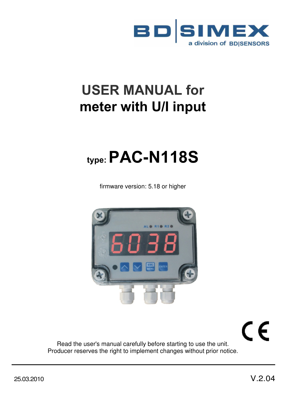

# **USER MANUAL for meter with U/I input**

# **type: PAC-N118S**

firmware version: 5.18 or higher



CE

Read the user's manual carefully before starting to use the unit. Producer reserves the right to implement changes without prior notice.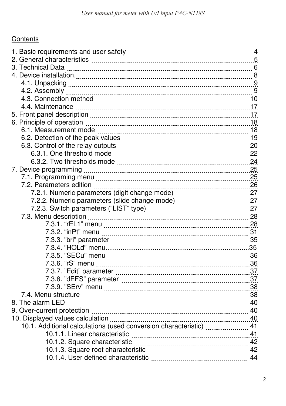## **Contents**

| 3. Technical Data [11, 2010] 6 (2012) 6 (2012) 6 (2013) 6 (2014) 7 (2014) 7 (2014) 7 (2014) 7 (2014) 7 (2014) |  |
|---------------------------------------------------------------------------------------------------------------|--|
|                                                                                                               |  |
|                                                                                                               |  |
|                                                                                                               |  |
|                                                                                                               |  |
|                                                                                                               |  |
|                                                                                                               |  |
|                                                                                                               |  |
|                                                                                                               |  |
| 6.2. Detection of the peak values <b>[19] page 12.2. Perfection</b> of the peak values                        |  |
|                                                                                                               |  |
|                                                                                                               |  |
|                                                                                                               |  |
|                                                                                                               |  |
|                                                                                                               |  |
|                                                                                                               |  |
|                                                                                                               |  |
|                                                                                                               |  |
|                                                                                                               |  |
|                                                                                                               |  |
|                                                                                                               |  |
|                                                                                                               |  |
|                                                                                                               |  |
|                                                                                                               |  |
|                                                                                                               |  |
|                                                                                                               |  |
|                                                                                                               |  |
|                                                                                                               |  |
|                                                                                                               |  |
|                                                                                                               |  |
|                                                                                                               |  |
|                                                                                                               |  |
|                                                                                                               |  |
| 10.1. Additional calculations (used conversion characteristic)  41                                            |  |
|                                                                                                               |  |
|                                                                                                               |  |
|                                                                                                               |  |
|                                                                                                               |  |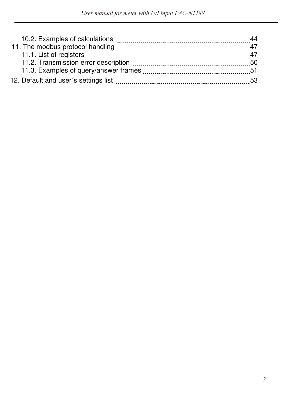|                                      | 44  |
|--------------------------------------|-----|
|                                      | 47  |
|                                      | 47  |
| 11.2. Transmission error description | 50  |
|                                      | -51 |
| 12. Default and user's settings list | 53  |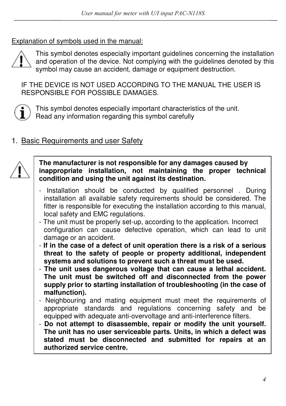Explanation of symbols used in the manual:



This symbol denotes especially important guidelines concerning the installation and operation of the device. Not complying with the guidelines denoted by this symbol may cause an accident, damage or equipment destruction.

IF THE DEVICE IS NOT USED ACCORDING TO THE MANUAL THE USER IS RESPONSIBLE FOR POSSIBLE DAMAGES.



This symbol denotes especially important characteristics of the unit. Read any information regarding this symbol carefully

# 1. Basic Requirements and user Safety



**The manufacturer is not responsible for any damages caused by inappropriate installation, not maintaining the proper technical condition and using the unit against its destination.** 

- Installation should be conducted by qualified personnel . During installation all available safety requirements should be considered. The fitter is responsible for executing the installation according to this manual, local safety and EMC regulations.
- The unit must be properly set-up, according to the application. Incorrect configuration can cause defective operation, which can lead to unit damage or an accident.
- **If in the case of a defect of unit operation there is a risk of a serious threat to the safety of people or property additional, independent systems and solutions to prevent such a threat must be used.**
- **The unit uses dangerous voltage that can cause a lethal accident. The unit must be switched off and disconnected from the power supply prior to starting installation of troubleshooting (in the case of malfunction).**
- Neighbouring and mating equipment must meet the requirements of appropriate standards and regulations concerning safety and be equipped with adequate anti-overvoltage and anti-interference filters.
- **Do not attempt to disassemble, repair or modify the unit yourself. The unit has no user serviceable parts. Units, in which a defect was stated must be disconnected and submitted for repairs at an authorized service centre.**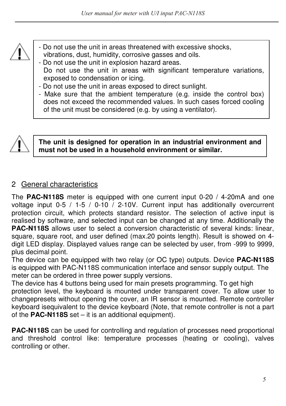

- Do not use the unit in areas threatened with excessive shocks, vibrations, dust, humidity, corrosive gasses and oils.
- Do not use the unit in explosion hazard areas. Do not use the unit in areas with significant temperature variations, exposed to condensation or icing.
- Do not use the unit in areas exposed to direct sunlight.
- Make sure that the ambient temperature (e.g. inside the control box) does not exceed the recommended values. In such cases forced cooling of the unit must be considered (e.g. by using a ventilator).



#### **The unit is designed for operation in an industrial environment and must not be used in a household environment or similar.**

# 2 General characteristics

The **PAC-N118S** meter is equipped with one current input 0-20 / 4-20mA and one voltage input 0-5 / 1-5 / 0-10  $\dot{\phantom{1}}$  2-10V. Current input has additionally overcurrent protection circuit, which protects standard resistor. The selection of active input is realised by software, and selected input can be changed at any time. Additionally the **PAC-N118S** allows user to select a conversion characteristic of several kinds: linear, square, square root, and user defined (max.20 points length). Result is showed on 4 digit LED display. Displayed values range can be selected by user, from -999 to 9999, plus decimal point.

The device can be equipped with two relay (or OC type) outputs. Device **PAC-N118S**  is equipped with PAC-N118S communication interface and sensor supply output. The meter can be ordered in three power supply versions.

The device has 4 buttons being used for main presets programming. To get high protection level, the keyboard is mounted under transparent cover. To allow user to changepresets without opening the cover, an IR sensor is mounted. Remote controller keyboard isequivalent to the device keyboard (Note, that remote controller is not a part of the **PAC-N118S** set – it is an additional equipment).

**PAC-N118S** can be used for controlling and regulation of processes need proportional and threshold control like: temperature processes (heating or cooling), valves controlling or other.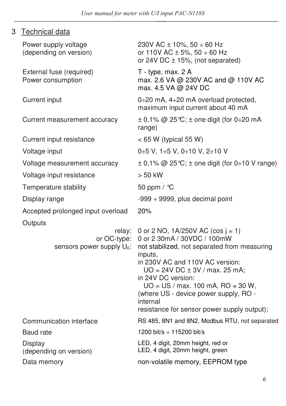| 3 | <b>Technical data</b> |  |
|---|-----------------------|--|
|   |                       |  |

| Power supply voltage<br>(depending on version)        | 230V AC ± 10%, 50 ÷ 60 Hz<br>or 110V AC ± 5%, 50 ÷ 60 Hz<br>or 24V DC $\pm$ 15%, (not separated)                                                                                                                                                                                                                                                                        |  |
|-------------------------------------------------------|-------------------------------------------------------------------------------------------------------------------------------------------------------------------------------------------------------------------------------------------------------------------------------------------------------------------------------------------------------------------------|--|
| External fuse (required)<br>Power consumption         | $T - type$ , max. 2 A<br>max. 2.6 VA @ 230V AC and @ 110V AC<br>max. 4.5 VA @ 24V DC                                                                                                                                                                                                                                                                                    |  |
| Current input                                         | 0÷20 mA, 4÷20 mA overload protected,<br>maximum input current about 40 mA                                                                                                                                                                                                                                                                                               |  |
| Current measurement accuracy                          | $\pm$ 0,1% @ 25 °C; $\pm$ one digit (for 0÷20 mA<br>range)                                                                                                                                                                                                                                                                                                              |  |
| Current input resistance                              | $<$ 65 W (typical 55 W)                                                                                                                                                                                                                                                                                                                                                 |  |
| Voltage input                                         | 0÷5 V, 1÷5 V, 0÷10 V, 2÷10 V                                                                                                                                                                                                                                                                                                                                            |  |
| Voltage measurement accuracy                          | $\pm$ 0,1% @ 25 °C; $\pm$ one digit (for 0÷10 V range)                                                                                                                                                                                                                                                                                                                  |  |
| Voltage input resistance                              | $> 50$ kW                                                                                                                                                                                                                                                                                                                                                               |  |
| Temperature stability                                 | 50 ppm / °C                                                                                                                                                                                                                                                                                                                                                             |  |
| Display range                                         | $-999 \div 9999$ , plus decimal point                                                                                                                                                                                                                                                                                                                                   |  |
| Accepted prolonged input overload                     | 20%                                                                                                                                                                                                                                                                                                                                                                     |  |
| Outputs                                               |                                                                                                                                                                                                                                                                                                                                                                         |  |
| relay:<br>or OC-type:<br>sensors power supply $U_0$ : | 0 or 2 NO, $1A/250V$ AC (cos j = 1)<br>0 or 2 30mA / 30VDC / 100mW<br>not stabilized, not separated from measuring<br>inputs,<br>in 230V AC and 110V AC version:<br>$UO = 24V DC \pm 3V / max.$ 25 mA;<br>in 24V DC version:<br>$UO = US / max. 100 mA, RO = 30 W,$<br>(where US - device power supply, RO -<br>internal<br>resistance for sensor power supply output); |  |
| Communication interface                               | RS 485, 8N1 and 8N2, Modbus RTU, not separated                                                                                                                                                                                                                                                                                                                          |  |
| <b>Baud</b> rate                                      | 1200 bit/s $\div$ 115200 bit/s                                                                                                                                                                                                                                                                                                                                          |  |
| Display<br>(depending on version)                     | LED, 4 digit, 20mm height, red or<br>LED, 4 digit, 20mm height, green                                                                                                                                                                                                                                                                                                   |  |
| Data memory                                           | non-volatile memory, EEPROM type                                                                                                                                                                                                                                                                                                                                        |  |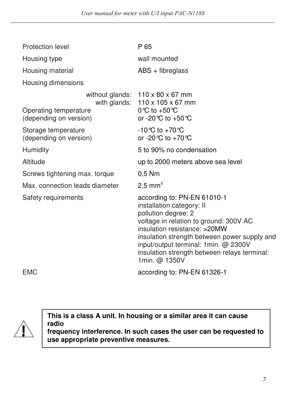| Protection level                                | P 65                                                                                                                                                                                                                                                                                                                |
|-------------------------------------------------|---------------------------------------------------------------------------------------------------------------------------------------------------------------------------------------------------------------------------------------------------------------------------------------------------------------------|
| Housing type                                    | wall mounted                                                                                                                                                                                                                                                                                                        |
| Housing material                                | ABS + fibreglass                                                                                                                                                                                                                                                                                                    |
| Housing dimensions                              |                                                                                                                                                                                                                                                                                                                     |
| Operating temperature<br>(depending on version) | without glands: $110 \times 80 \times 67$ mm<br>with glands: $110 \times 105 \times 67$ mm<br>0 °C to +50 °C<br>or -20 °C to +50 °C                                                                                                                                                                                 |
| Storage temperature<br>(depending on version)   | -10 °C to +70 °C<br>or -20 °C to +70 °C                                                                                                                                                                                                                                                                             |
| Humidity                                        | 5 to 90% no condensation                                                                                                                                                                                                                                                                                            |
| Altitude                                        | up to 2000 meters above sea level                                                                                                                                                                                                                                                                                   |
| Screws tightening max. torque                   | $0,5$ Nm                                                                                                                                                                                                                                                                                                            |
| Max. connection leads diameter                  | 2,5 mm <sup>2</sup>                                                                                                                                                                                                                                                                                                 |
| Safety requirements                             | according to: PN-EN 61010-1<br>installation category: II<br>pollution degree: 2<br>voltage in relation to ground: 300V AC<br>insulation resistance: > 20MW<br>insulation strength between power supply and<br>input/output terminal: 1min. @ 2300V<br>insulation strength between relays terminal:<br>1min. @ 1350V |
| EMC                                             | according to: PN-EN 61326-1                                                                                                                                                                                                                                                                                         |

**This is a class A unit. In housing or a similar area it can cause radio** 

**frequency interference. In such cases the user can be requested to use appropriate preventive measures.**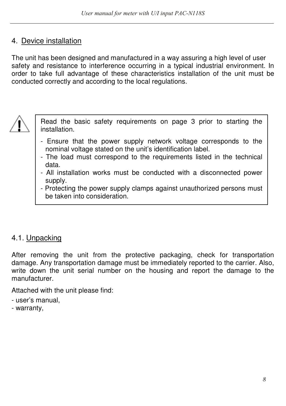## 4. Device installation

The unit has been designed and manufactured in a way assuring a high level of user safety and resistance to interference occurring in a typical industrial environment. In order to take full advantage of these characteristics installation of the unit must be conducted correctly and according to the local regulations.



Read the basic safety requirements on page 3 prior to starting the installation.

- Ensure that the power supply network voltage corresponds to the nominal voltage stated on the unit's identification label.
- The load must correspond to the requirements listed in the technical data.
- All installation works must be conducted with a disconnected power supply.
- Protecting the power supply clamps against unauthorized persons must be taken into consideration.

# 4.1. Unpacking

After removing the unit from the protective packaging, check for transportation damage. Any transportation damage must be immediately reported to the carrier. Also, write down the unit serial number on the housing and report the damage to the manufacturer.

Attached with the unit please find:

- user's manual,
- warranty,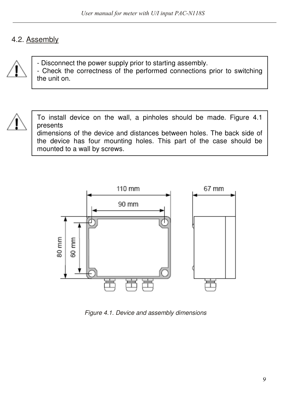## 4.2. Assembly



- Disconnect the power supply prior to starting assembly. - Check the correctness of the performed connections prior to switching the unit on.



To install device on the wall, a pinholes should be made. Figure 4.1 presents

dimensions of the device and distances between holes. The back side of the device has four mounting holes. This part of the case should be mounted to a wall by screws.



Figure 4.1. Device and assembly dimensions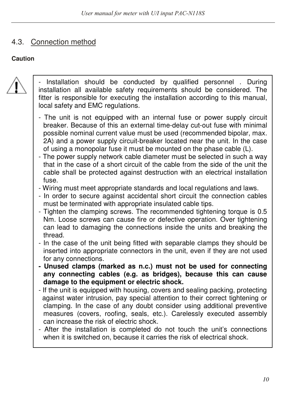## 4.3. Connection method

#### **Caution**



- Installation should be conducted by qualified personnel . During installation all available safety requirements should be considered. The fitter is responsible for executing the installation according to this manual, local safety and EMC regulations.
- The unit is not equipped with an internal fuse or power supply circuit breaker. Because of this an external time-delay cut-out fuse with minimal possible nominal current value must be used (recommended bipolar, max. 2A) and a power supply circuit-breaker located near the unit. In the case of using a monopolar fuse it must be mounted on the phase cable (L).
- The power supply network cable diameter must be selected in such a way that in the case of a short circuit of the cable from the side of the unit the cable shall be protected against destruction with an electrical installation fuse.
- Wiring must meet appropriate standards and local regulations and laws.
- In order to secure against accidental short circuit the connection cables must be terminated with appropriate insulated cable tips.
- Tighten the clamping screws. The recommended tightening torque is 0.5 Nm. Loose screws can cause fire or defective operation. Over tightening can lead to damaging the connections inside the units and breaking the thread.
- In the case of the unit being fitted with separable clamps they should be inserted into appropriate connectors in the unit, even if they are not used for any connections.
- **Unused clamps (marked as n.c.) must not be used for connecting any connecting cables (e.g. as bridges), because this can cause damage to the equipment or electric shock.**
- If the unit is equipped with housing, covers and sealing packing, protecting against water intrusion, pay special attention to their correct tightening or clamping. In the case of any doubt consider using additional preventive measures (covers, roofing, seals, etc.). Carelessly executed assembly can increase the risk of electric shock.
- After the installation is completed do not touch the unit's connections when it is switched on, because it carries the risk of electrical shock.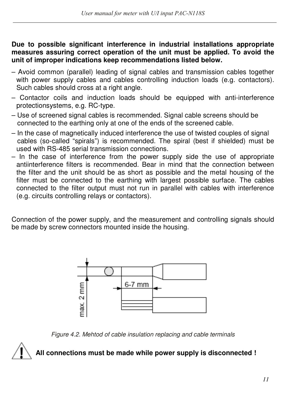**Due to possible significant interference in industrial installations appropriate measures assuring correct operation of the unit must be applied. To avoid the unit of improper indications keep recommendations listed below.** 

- Avoid common (parallel) leading of signal cables and transmission cables together with power supply cables and cables controlling induction loads (e.g. contactors). Such cables should cross at a right angle.
- Contactor coils and induction loads should be equipped with anti-interference protectionsystems, e.g. RC-type.
- Use of screened signal cables is recommended. Signal cable screens should be connected to the earthing only at one of the ends of the screened cable.
- In the case of magnetically induced interference the use of twisted couples of signal cables (so-called "spirals") is recommended. The spiral (best if shielded) must be used with RS-485 serial transmission connections.
- In the case of interference from the power supply side the use of appropriate antiinterference filters is recommended. Bear in mind that the connection between the filter and the unit should be as short as possible and the metal housing of the filter must be connected to the earthing with largest possible surface. The cables connected to the filter output must not run in parallel with cables with interference (e.g. circuits controlling relays or contactors).

Connection of the power supply, and the measurement and controlling signals should be made by screw connectors mounted inside the housing.



Figure 4.2. Mehtod of cable insulation replacing and cable terminals



# **All connections must be made while power supply is disconnected !**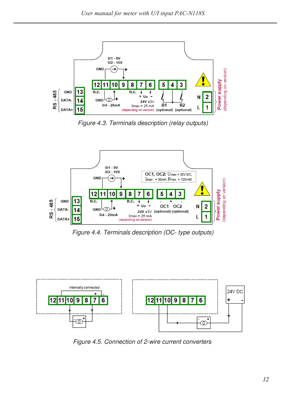

Figure 4.3. Terminals description (relay outputs)



Figure 4.4. Terminals description (OC- type outputs)



Figure 4.5. Connection of 2-wire current converters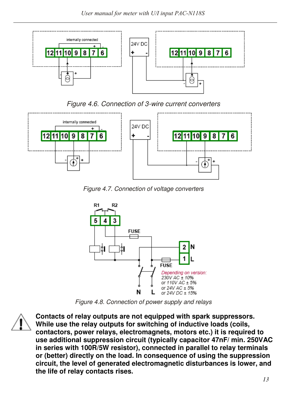

#### Figure 4.6. Connection of 3-wire current converters



Figure 4.7. Connection of voltage converters



Figure 4.8. Connection of power supply and relays



**Contacts of relay outputs are not equipped with spark suppressors. While use the relay outputs for switching of inductive loads (coils, contactors, power relays, electromagnets, motors etc.) it is required to use additional suppression circuit (typically capacitor 47nF/ min. 250VAC in series with 100R/5W resistor), connected in parallel to relay terminals or (better) directly on the load. In consequence of using the suppression circuit, the level of generated electromagnetic disturbances is lower, and the life of relay contacts rises.**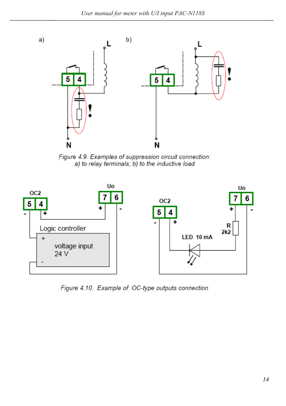

Figure 4.9. Examples of suppression circuit connection: a) to relay terminals; b) to the inductive load



Figure 4.10. Example of OC-type outputs connection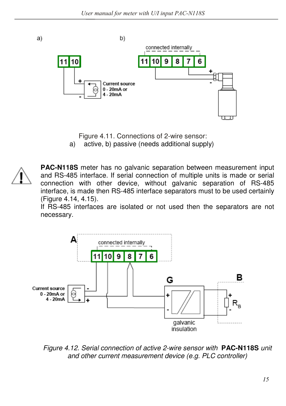b) connected internally 1110 10 q 8 1 Current source  $0 - 20$ mA or  $-20mA$ 

Figure 4.11. Connections of 2-wire sensor:

a) active, b) passive (needs additional supply)



a)

**PAC-N118S** meter has no galvanic separation between measurement input and RS-485 interface. If serial connection of multiple units is made or serial connection with other device, without galvanic separation of RS-485 interface, is made then RS-485 interface separators must to be used certainly (Figure 4.14, 4.15).

If RS-485 interfaces are isolated or not used then the separators are not necessary.



Figure 4.12. Serial connection of active 2-wire sensor with **PAC-N118S** unit and other current measurement device (e.g. PLC controller)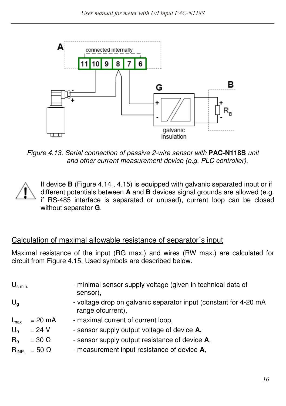

Figure 4.13. Serial connection of passive 2-wire sensor with **PAC-N118S** unit and other current measurement device (e.g. PLC controller).

If device **B** (Figure 4.14 , 4.15) is equipped with galvanic separated input or if different potentials between **A** and **B** devices signal grounds are allowed (e.g. if RS-485 interface is separated or unused), current loop can be closed without separator **G**.

# Calculation of maximal allowable resistance of separator´s input

Maximal resistance of the input (RG max.) and wires (RW max.) are calculated for circuit from Figure 4.15. Used symbols are described below.

| $U_{\rm s,min}$                    |                                                                  | - minimal sensor supply voltage (given in technical data of<br>sensor),                                                                                                            |
|------------------------------------|------------------------------------------------------------------|------------------------------------------------------------------------------------------------------------------------------------------------------------------------------------|
| $U_q$                              |                                                                  | - voltage drop on galvanic separator input (constant for 4-20 mA<br>range ofcurrent),                                                                                              |
| $I_{\text{max}}$<br>$U_0$<br>$R_0$ | $= 20$ mA<br>$= 24 V$<br>$= 30 \Omega$<br>$R_{INP.} = 50 \Omega$ | - maximal current of current loop,<br>- sensor supply output voltage of device A,<br>- sensor supply output resistance of device A,<br>- measurement input resistance of device A, |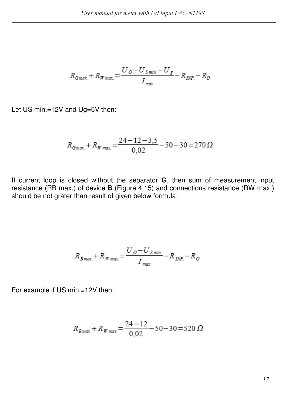$$
R_{Gmax} + R_{Wmax} = \frac{U_O - U_{Smin} - U_S}{I_{max}} - R_{DNP} - R_O
$$

Let US min.=12V and Ug=5V then:

$$
R_{Gmax} + R_{Wmax} = \frac{24 - 12 - 3.5}{0.02} - 50 - 30 = 270 \,\Omega
$$

If current loop is closed without the separator **G**, then sum of measurement input resistance (RB max.) of device **B** (Figure 4.15) and connections resistance (RW max.) should be not grater than result of given below formula:

$$
R_{Bmax} + R_{Wmax} = \frac{U_O - U_{Smin}}{I_{max}} - R_{DNP} - R_O
$$

For example if US min.=12V then:

$$
R_{Bmax} + R_{Wmax} = \frac{24 - 12}{0.02} - 50 - 30 = 520 \,\Omega
$$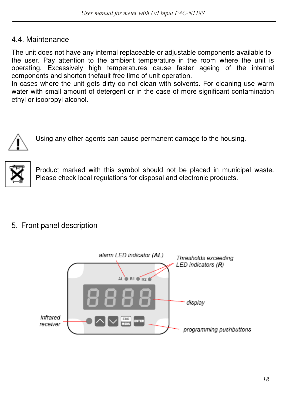## 4.4. Maintenance

The unit does not have any internal replaceable or adjustable components available to the user. Pay attention to the ambient temperature in the room where the unit is operating. Excessively high temperatures cause faster ageing of the internal components and shorten thefault-free time of unit operation.

In cases where the unit gets dirty do not clean with solvents. For cleaning use warm water with small amount of detergent or in the case of more significant contamination ethyl or isopropyl alcohol.



Using any other agents can cause permanent damage to the housing.



Product marked with this symbol should not be placed in municipal waste. Please check local regulations for disposal and electronic products.

## 5. Front panel description

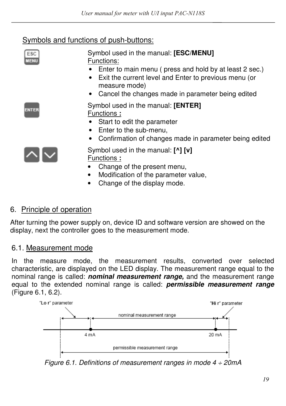# Symbols and functions of push-buttons:

| ESC<br><b>MENU</b> | Symbol used in the manual: [ESC/MENU]<br>Functions:<br>Enter to main menu (press and hold by at least 2 sec.)<br>Exit the current level and Enter to previous menu (or<br>$\bullet$<br>measure mode)<br>• Cancel the changes made in parameter being edited |
|--------------------|-------------------------------------------------------------------------------------------------------------------------------------------------------------------------------------------------------------------------------------------------------------|
| <b>ENTER</b>       | Symbol used in the manual: [ENTER]<br>Functions:<br>Start to edit the parameter<br>Enter to the sub-menu,<br>$\bullet$<br>Confirmation of changes made in parameter being edited<br>٠                                                                       |
|                    | Symbol used in the manual: [^] [v]<br>Functions:<br>Change of the present menu,<br>Modification of the parameter value,<br>$\bullet$<br>Change of the display mode.                                                                                         |

# 6. Principle of operation

After turning the power supply on, device ID and software version are showed on the display, next the controller goes to the measurement mode.

# 6.1. Measurement mode

In the measure mode, the measurement results, converted over selected characteristic, are displayed on the LED display. The measurement range equal to the nominal range is called: *nominal measurement range,* and the measurement range equal to the extended nominal range is called: *permissible measurement range*  (Figure 6.1, 6.2).



Figure 6.1. Definitions of measurement ranges in mode  $4 \div 20$ mA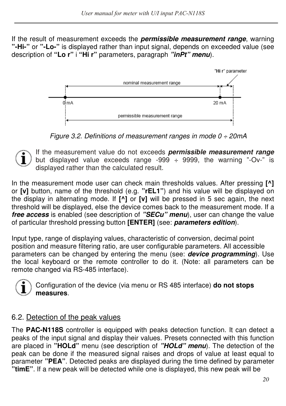If the result of measurement exceeds the *permissible measurement range*, warning **"-Hi-"** or **"-Lo-"** is displayed rather than input signal, depends on exceeded value (see description of **"Lo r"** i **"Hi r"** parameters, paragraph *"inPt" menu*).



Figure 3.2. Definitions of measurement ranges in mode  $0 \div 20$ mA

If the measurement value do not exceeds *permissible measurement range*  but displayed value exceeds range -999  $\div$  9999, the warning "-Ov-" is displayed rather than the calculated result.

In the measurement mode user can check main thresholds values. After pressing **[^]**  or **[v]** button, name of the threshold (e.g. **"rEL1"**) and his value will be displayed on the display in alternating mode. If **[^]** or **[v]** will be pressed in 5 sec again, the next threshold will be displayed, else the device comes back to the measurement mode. If a *free access* is enabled (see description of *"SECu" menu*), user can change the value of particular threshold pressing button **[ENTER]** (see: *parameters edition*).

Input type, range of displaying values, characteristic of conversion, decimal point position and measure filtering ratio, are user configurable parameters. All accessible parameters can be changed by entering the menu (see: *device programming*). Use the local keyboard or the remote controller to do it. (Note: all parameters can be remote changed via RS-485 interface).



Configuration of the device (via menu or RS 485 interface) **do not stops measures**.

## 6.2. Detection of the peak values

The **PAC-N118S** controller is equipped with peaks detection function. It can detect a peaks of the input signal and display their values. Presets connected with this function are placed in **"HOLd"** menu (see description of *"HOLd" menu*). The detection of the peak can be done if the measured signal raises and drops of value at least equal to parameter **"PEA"**. Detected peaks are displayed during the time defined by parameter **"timE"**. If a new peak will be detected while one is displayed, this new peak will be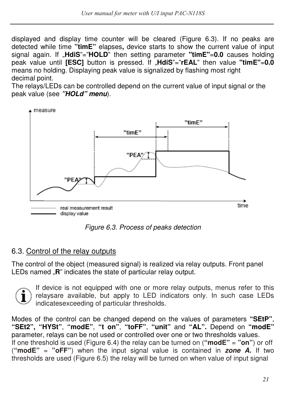displayed and display time counter will be cleared (Figure 6.3). If no peaks are detected while time **"timE"** elapses**,** device starts to show the current value of input signal again. If "**HdiS**"="**HOLD**" then setting parameter **"timE"**=**0.0** causes holding peak value until **[ESC]** button is pressed. If "**HdiS**"="**rEAL**" then value **"timE"**=**0.0**  means no holding. Displaying peak value is signalized by flashing most right decimal point.

The relays/LEDs can be controlled depend on the current value of input signal or the peak value (see *"HOLd" menu*).



Figure 6.3. Process of peaks detection

## 6.3. Control of the relay outputs

The control of the object (measured signal) is realized via relay outputs. Front panel LEDs named **"R**" indicates the state of particular relay output.



If device is not equipped with one or more relay outputs, menus refer to this relaysare available, but apply to LED indicators only. In such case LEDs indicatesexceeding of particular thresholds.

Modes of the control can be changed depend on the values of parameters **"SEtP"**, **"SEt2", "HYSt"**, **"modE"**, **"t on"**, **"toFF"**, **"unit"** and **"AL".** Depend on **"modE"**  parameter, relays can be not used or controlled over one or two thresholds values. If one threshold is used (Figure 6.4) the relay can be turned on (**"modE"** = **"on"**) or off (**"modE"** = **"oFF"**) when the input signal value is contained in *zone A.* If two thresholds are used (Figure 6.5) the relay will be turned on when value of input signal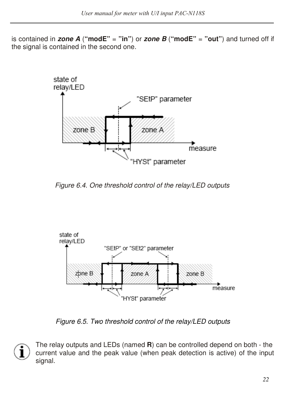is contained in **zone A** ("modE" = "in") or **zone B** ("modE" = "out") and turned off if the signal is contained in the second one.



Figure 6.4. One threshold control of the relay/LED outputs



Figure 6.5. Two threshold control of the relay/LED outputs

1

The relay outputs and LEDs (named **R**) can be controlled depend on both - the current value and the peak value (when peak detection is active) of the input signal.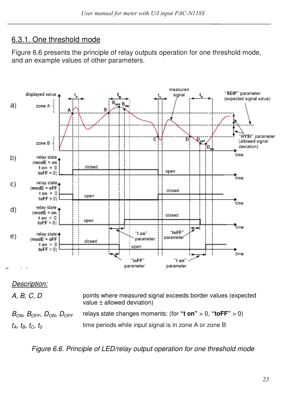## 6.3.1. One threshold mode

Figure 6.6 presents the principle of relay outputs operation for one threshold mode, and an example values of other parameters.



#### Description:

A, B, C, D points where measured signal exceeds border values (expected value ± allowed deviation)

 $B_{ON}$ ,  $B_{OFF}$ ,  $D_{ON}$ ,  $D_{OFF}$  relays state changes moments: (for "**t on**" > 0, "toFF" > 0)  $t_A$ ,  $t_B$ ,  $t_C$ ,  $t_O$ time periods while input signal is in zone A or zone B

Figure 6.6. Principle of LED/relay output operation for one threshold mode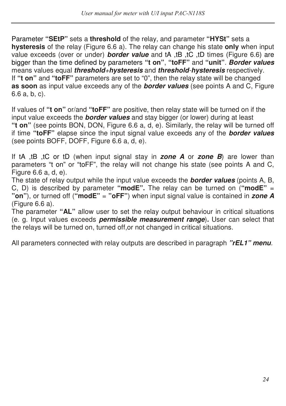Parameter **"SEtP"** sets a **threshold** of the relay, and parameter **"HYSt"** sets a **hysteresis** of the relay (Figure 6.6 a). The relay can change his state **only** when input value exceeds (over or under) *border value* and tA ,tB ,tC ,tD times (Figure 6.6) are bigger than the time defined by parameters **"t on"**, **"toFF"** and **"unit"**. *Border values*  means values equal *threshold*+*hysteresis* and *threshold*-*hysteresis* respectively. If **"t on"** and **"toFF"** parameters are set to "0", then the relay state will be changed **as soon** as input value exceeds any of the *border values* (see points A and C, Figure 6.6 a, b, c).

If values of **"t on"** or/and **"toFF"** are positive, then relay state will be turned on if the input value exceeds the *border values* and stay bigger (or lower) during at least **"t on"** (see points BON, DON, Figure 6.6 a, d, e). Similarly, the relay will be turned off if time **"toFF"** elapse since the input signal value exceeds any of the *border values*  (see points BOFF, DOFF, Figure 6.6 a, d, e).

If tA ,tB ,tC or tD (when input signal stay in *zone A* or *zone B*) are lower than parameters "t on" or "toFF", the relay will not change his state (see points A and C, Figure 6.6 a, d, e).

The state of relay output while the input value exceeds the *border values* (points A, B, C, D) is described by parameter **"modE".** The relay can be turned on (**"modE"** = **"on"**), or turned off (**"modE"** = **"oFF"**) when input signal value is contained in *zone A*  (Figure 6.6 a).

The parameter **"AL"** allow user to set the relay output behaviour in critical situations (e. g. Input values exceeds *permissible measurement range*)*.* User can select that the relays will be turned on, turned off,or not changed in critical situations.

All parameters connected with relay outputs are described in paragraph *"rEL1" menu*.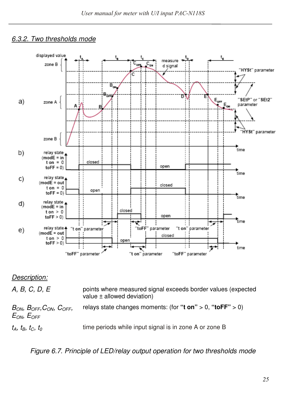#### 6.3.2. Two thresholds mode



#### Description:

A, B, C, D, E points where measured signal exceeds border values (expected value ± allowed deviation)  $B_{ON}$ ,  $B_{OFF}$ ,  $C_{ON}$ ,  $C_{OFF}$ ,  $E_{ON}$ ,  $E_{OFF}$ relays state changes moments: (for **"t on"** > 0, **"toFF"** > 0)

 $t_A$ ,  $t_B$ ,  $t_C$ ,  $t_O$ 

time periods while input signal is in zone A or zone B

Figure 6.7. Principle of LED/relay output operation for two thresholds mode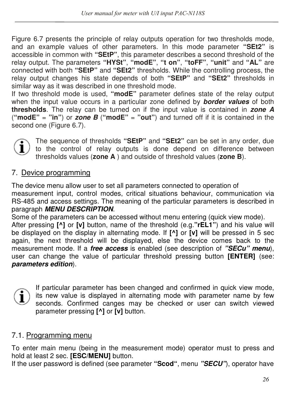Figure 6.7 presents the principle of relay outputs operation for two thresholds mode, and an example values of other parameters. In this mode parameter **"SEt2"** is accessible in common with **"SEtP"**, this parameter describes a second threshold of the relay output. The parameters **"HYSt"**, **"modE"**, **"t on"**, **"toFF"**, **"unit"** and **"AL"** are connected with both **"SEtP"** and **"SEt2"** thresholds. While the controlling process, the relay output changes his state depends of both **"SEtP"** and **"SEt2"** thresholds in similar way as it was described in one threshold mode.

If two threshold mode is used, **"modE"** parameter defines state of the relay output when the input value occurs in a particular zone defined by *border values* of both **thresholds**. The relay can be turned on if the input value is contained in *zone A*  (**"modE"** = **"in"**) or *zone B* (**"modE"** = **"out"**) and turned off if it is contained in the second one (Figure 6.7).



The sequence of thresholds **"SEtP"** and **"SEt2"** can be set in any order, due to the control of relay outputs is done depend on difference between thresholds values (**zone A** ) and outside of threshold values (**zone B**).

## 7. Device programming

The device menu allow user to set all parameters connected to operation of measurement input, control modes, critical situations behaviour, communication via RS-485 and access settings. The meaning of the particular parameters is described in paragraph *MENU DESCRIPTION*.

Some of the parameters can be accessed without menu entering (quick view mode). After pressing **[^]** or **[v]** button, name of the threshold (e.g.**"rEL1"**) and his value will be displayed on the display in alternating mode. If **[^]** or **[v]** will be pressed in 5 sec again, the next threshold will be displayed, else the device comes back to the measurement mode. If a *free access* is enabled (see description of *"SECu" menu*), user can change the value of particular threshold pressing button **[ENTER]** (see: *parameters edition*).



If particular parameter has been changed and confirmed in quick view mode, its new value is displayed in alternating mode with parameter name by few seconds. Confirmed canges may be checked or user can switch viewed parameter pressing **[^]** or **[v]** button.

## 7.1. Programming menu

To enter main menu (being in the measurement mode) operator must to press and hold at least 2 sec. **[ESC/MENU]** button.

If the user password is defined (see parameter **"Scod"**, menu *"SECU"*), operator have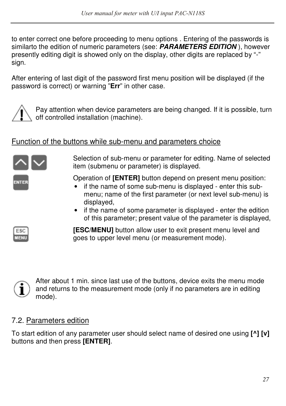to enter correct one before proceeding to menu options . Entering of the passwords is similarto the edition of numeric parameters (see: *PARAMETERS EDITION* ), however presently editing digit is showed only on the display, other digits are replaced by "-" sign.

After entering of last digit of the password first menu position will be displayed (if the password is correct) or warning "**Err**" in other case.



Pay attention when device parameters are being changed. If it is possible, turn off controlled installation (machine).

## Function of the buttons while sub-menu and parameters choice



Selection of sub-menu or parameter for editing. Name of selected item (submenu or parameter) is displayed.

Operation of **[ENTER]** button depend on present menu position:

- if the name of some sub-menu is displayed enter this submenu; name of the first parameter (or next level sub-menu) is displayed,
- if the name of some parameter is displayed enter the edition of this parameter; present value of the parameter is displayed,



**[ESC/MENU]** button allow user to exit present menu level and goes to upper level menu (or measurement mode).



## 7.2. Parameters edition

To start edition of any parameter user should select name of desired one using **[^] [v]**  buttons and then press **[ENTER]**.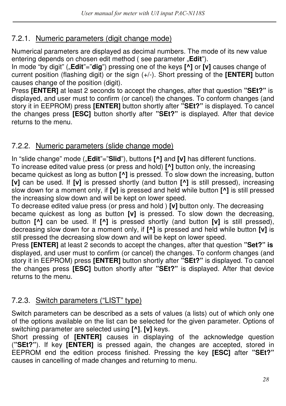## 7.2.1. Numeric parameters (digit change mode)

Numerical parameters are displayed as decimal numbers. The mode of its new value entering depends on chosen edit method (see parameter **"Edit**").

In mode "by digit" ("**Edit**"="dig") pressing one of the keys  $\vec{[}$  or  $\vec{[}$  v] causes change of current position (flashing digit) or the sign (+/-). Short pressing of the **[ENTER]** button causes change of the position (digit).

Press **[ENTER]** at least 2 seconds to accept the changes, after that question **"SEt?"** is displayed, and user must to confirm (or cancel) the changes. To conform changes (and story it in EEPROM) press **[ENTER]** button shortly after **"SEt?"** is displayed. To cancel the changes press **[ESC]** button shortly after **"SEt?"** is displayed. After that device returns to the menu.

## 7.2.2. Numeric parameters (slide change mode)

In "slide change" mode ("Edit"="Slid"), buttons [^] and [v] has different functions. To increase edited value press (or press and hold) **[^]** button only, the increasing became quickest as long as button **[^]** is pressed. To slow down the increasing, button **[v]** can be used. If **[v]** is pressed shortly (and button **[^]** is still pressed), increasing slow down for a moment only, if **[v]** is pressed and held while button **[^]** is still pressed the increasing slow down and will be kept on lower speed.

To decrease edited value press (or press and hold ) **[v]** button only. The decreasing became quickest as long as button **[v]** is pressed. To slow down the decreasing, button **[^]** can be used. If **[^]** is pressed shortly (and button **[v]** is still pressed), decreasing slow down for a moment only, if **[^]** is pressed and held while button **[v]** is still pressed the decreasing slow down and will be kept on lower speed.

Press **[ENTER]** at least 2 seconds to accept the changes, after that question **"Set?" is**  displayed, and user must to confirm (or cancel) the changes. To conform changes (and story it in EEPROM) press **[ENTER]** button shortly after **"SEt?"** is displayed. To cancel the changes press **[ESC]** button shortly after **"SEt?"** is displayed. After that device returns to the menu.

## 7.2.3. Switch parameters ("LIST" type)

Switch parameters can be described as a sets of values (a lists) out of which only one of the options available on the list can be selected for the given parameter. Options of switching parameter are selected using **[^]**, **[v]** keys.

Short pressing of **[ENTER]** causes in displaying of the acknowledge question (**"SEt?"**). If key **[ENTER]** is pressed again, the changes are accepted, stored in EEPROM end the edition process finished. Pressing the key **[ESC]** after **"SEt?"**  causes in cancelling of made changes and returning to menu.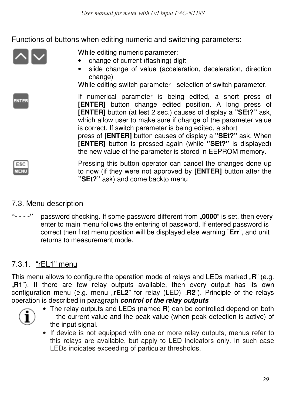## Functions of buttons when editing numeric and switching parameters:

While editing numeric parameter:

- change of current (flashing) digit
- slide change of value (acceleration, deceleration, direction change)

While editing switch parameter - selection of switch parameter.

If numerical parameter is being edited, a short press of **[ENTER]** button change edited position. A long press of **[ENTER]** button (at lest 2 sec.) causes of display a **"SEt?"** ask, which allow user to make sure if change of the parameter value is correct. If switch parameter is being edited, a short

press of **[ENTER]** button causes of display a **"SEt?"** ask. When **[ENTER]** button is pressed again (while **"SEt?"** is displayed) the new value of the parameter is stored in EEPROM memory.

ESO **IFM** 

**ENTER** 

Pressing this button operator can cancel the changes done up to now (if they were not approved by **[ENTER]** button after the **"SEt?"** ask) and come backto menu

## 7.3. Menu description

**"- - - -"** password checking. If some password different from "**0000**" is set, then every enter to main menu follows the entering of password. If entered password is correct then first menu position will be displayed else warning "**Err**", and unit returns to measurement mode.

# 7.3.1. "rEL1" menu

This menu allows to configure the operation mode of relays and LEDs marked "R" (e.g. "R1"). If there are few relay outputs available, then every output has its own configuration menu (e.g. menu "rEL2" for relay (LED) "R2"). Principle of the relays operation is described in paragraph *control of the relay outputs*



- The relay outputs and LEDs (named **R**) can be controlled depend on both – the current value and the peak value (when peak detection is active) of the input signal.
- If device is not equipped with one or more relay outputs, menus refer to this relays are available, but apply to LED indicators only. In such case LEDs indicates exceeding of particular thresholds.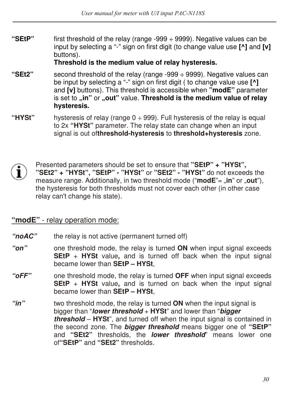**"SEtP"** first threshold of the relay (range -999 ÷ 9999). Negative values can be input by selecting a "-" sign on first digit (to change value use **[^]** and **[v]**  buttons).

#### **Threshold is the medium value of relay hysteresis.**

- **"SEt2"** second threshold of the relay (range -999 ÷ 9999). Negative values can be input by selecting a "-" sign on first digit ( to change value use **[^]**  and **[v]** buttons). This threshold is accessible when **"modE"** parameter is set to **"in"** or **"out"** value. **Threshold is the medium value of relay hysteresis.**
- **"HYSt"** hysteresis of relay (range 0 ÷ 999). Full hysteresis of the relay is equal to 2x **"HYSt"** parameter. The relay state can change when an input signal is out of**threshold-hysteresis** to **threshold+hysteresis** zone.
- 

Presented parameters should be set to ensure that **"SEtP" + "HYSt", "SEt2" + "HYSt", "SEtP" - "HYSt"** or **"SEt2" - "HYSt"** do not exceeds the measure range. Additionally, in two threshold mode ("modE"= "in" or "out"), the hysteresis for both thresholds must not cover each other (in other case relay can't change his state).

#### **"modE"** - relay operation mode:

- *"noAC"* the relay is not active (permanent turned off)
- *"on"* one threshold mode, the relay is turned **ON** when input signal exceeds **SEtP** + **HYSt** value, and is turned off back when the input signal became lower than **SEtP – HYSt**,
- *"oFF"* one threshold mode, the relay is turned **OFF** when input signal exceeds **SEtP** + **HYSt** value, and is turned on back when the input signal became lower than **SEtP – HYSt**,
- *"in"* two threshold mode, the relay is turned **ON** when the input signal is bigger than "*lower threshold* + **HYSt**" and lower than "*bigger threshold* – **HYSt**", and turned off when the input signal is contained in the second zone. The *bigger threshold* means bigger one of **"SEtP"**  and **"SEt2"** thresholds, the *lower threshold*" means lower one of**"SEtP"** and **"SEt2"** thresholds.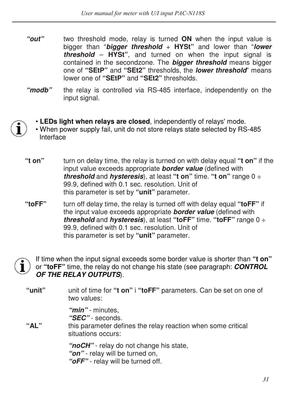- *"out"* two threshold mode, relay is turned **ON** when the input value is bigger than "*bigger threshold* + **HYSt"** and lower than "*lower threshold* – **HYSt"**, and turned on when the input signal is contained in the secondzone. The *bigger threshold* means bigger one of **"SEtP"** and **"SEt2"** thresholds, the *lower threshold*" means lower one of **"SEtP"** and **"SEt2"** thresholds.
- *"modb"* the relay is controlled via RS-485 interface, independently on the input signal.
- **LEDs light when relays are closed**, independently of relays' mode.
- When power supply fail, unit do not store relays state selected by RS-485 Interface
- **"t on"** turn on delay time, the relay is turned on with delay equal **"t on"** if the input value exceeds appropriate *border value* (defined with *threshold* and *hysteresis*), at least **"t on"** time. **"t on"** range 0 ÷ 99.9, defined with 0.1 sec. resolution. Unit of this parameter is set by **"unit"** parameter.
- **"toFF"** turn off delay time, the relay is turned off with delay equal **"toFF"** if the input value exceeds appropriate *border value* (defined with *threshold* and *hysteresis*), at least **"toFF"** time. **"toFF"** range 0 ÷ 99.9, defined with 0.1 sec. resolution. Unit of this parameter is set by **"unit"** parameter.



If time when the input signal exceeds some border value is shorter than **"t on"**  or **"toFF"** time, the relay do not change his state (see paragraph: *CONTROL OF THE RELAY OUTPUTS*).

**"unit"** unit of time for **"t on"** i **"toFF"** parameters. Can be set on one of two values:

> *"min"* - minutes, *"SEC"* - seconds.

**"AL"** this parameter defines the relay reaction when some critical situations occurs:

> *"noCH"* - relay do not change his state, *"on"* - relay will be turned on, *"oFF"* - relay will be turned off.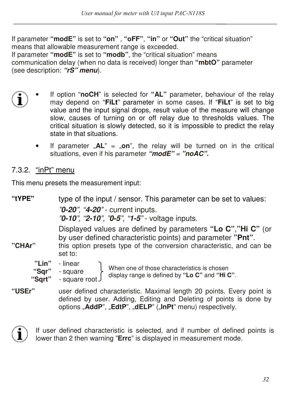If parameter **"modE"** is set to **"on"** , **"oFF"**, **"in"** or **"Out"** the "critical situation" means that allowable measurement range is exceeded. If parameter **"modE"** is set to **"modb"**, the "critical situation" means communication delay (when no data is received) longer than **"mbtO"** parameter (see description: *"rS" menu*).

- If option "**noCH**" is selected for **"AL"** parameter, behaviour of the relay may depend on "**FiLt**" parameter in some cases. If "**FiLt**" is set to big value and the input signal drops, result value of the measure will change slow, causes of turning on or off relay due to thresholds values. The critical situation is slowly detected, so it is impossible to predict the relay state in that situations.
	- If parameter  $<sub>n</sub>AL<sup>n</sup> = <sub>n</sub>on<sup>n</sup>$ , the relay will be turned on in the critical</sub> situations, even if his parameter *"modE"* = *"noAC".*

# 7.3.2. "inPt" menu

This menu presets the measurement input:

| "tYPE"                   | type of the input / sensor. This parameter can be set to values:                                                                                                                                                 |  |  |  |
|--------------------------|------------------------------------------------------------------------------------------------------------------------------------------------------------------------------------------------------------------|--|--|--|
|                          | "0-20", "4-20" - current inputs.<br>"0-10", "2-10", "0-5", "1-5" - voltage inputs.                                                                                                                               |  |  |  |
| "CHAr"                   | Displayed values are defined by parameters "Lo C", "Hi C" (or<br>by user defined characteristic points) and parameter "Pnt".<br>this option presets type of the conversion characteristic, and can be<br>set to: |  |  |  |
| "Lin"<br>"Sqr"<br>"Sqrt" | - linear<br>When one of those characteristics is chosen<br>- square<br>display range is defined by "Lo C" and "Hi C".<br>- square root J                                                                         |  |  |  |
| "USEr"                   | user defined characteristic. Maximal length 20 points. Every point is<br>defined by user. Adding, Editing and Deleting of points is done by<br>options "AddP", "EdtP", "dELP" ("InPt" menu) respectively.        |  |  |  |



If user defined characteristic is selected, and if number of defined points is lower than 2 then warning "**Errc**" is displayed in measurement mode.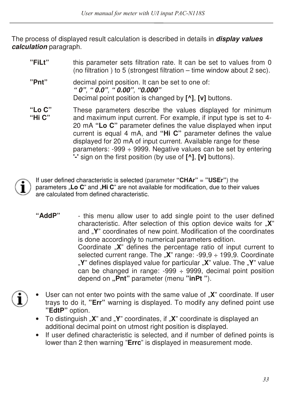The process of displayed result calculation is described in details in *display values calculation* paragraph.

| "FiLt"           | this parameter sets filtration rate. It can be set to values from 0<br>(no filtration) to 5 (strongest filtration – time window about 2 sec).                                                                                                                                                                                                                                                                                                                                 |
|------------------|-------------------------------------------------------------------------------------------------------------------------------------------------------------------------------------------------------------------------------------------------------------------------------------------------------------------------------------------------------------------------------------------------------------------------------------------------------------------------------|
| "Pnt"            | decimal point position. It can be set to one of:<br>" $0$ ", " $0.0$ ", " $0.00$ ", " $0.000$ "<br>Decimal point position is changed by [^], [v] buttons.                                                                                                                                                                                                                                                                                                                     |
| "Lo C"<br>"Hi C" | These parameters describe the values displayed for minimum<br>and maximum input current. For example, if input type is set to 4-<br>20 mA "Lo C" parameter defines the value displayed when input<br>current is equal 4 mA, and "Hi C" parameter defines the value<br>displayed for 20 mA of input current. Available range for these<br>parameters: -999 $\div$ 9999. Negative values can be set by entering<br>'-' sign on the first position (by use of [^], [v] buttons). |



If user defined characteristic is selected (parameter **"CHAr"** = **"USEr"**) the parameters "Lo C" and "Hi C" are not available for modification, due to their values are calculated from defined characteristic.

- **"AddP"** this menu allow user to add single point to the user defined characteristic. After selection of this option device waits for "**X**" and "**Y**" coordinates of new point. Modification of the coordinates is done accordingly to numerical parameters edition. Coordinate "X" defines the percentage ratio of input current to selected current range. The "**X**" range: -99,9 ÷ 199,9. Coordinate "**Y**" defines displayed value for particular "**X**" value. The "**Y**" value can be changed in range:  $-999 \div 9999$ , decimal point position depend on **"Pnt"** parameter (menu **"inPt "**).
- User can not enter two points with the same value of "X" coordinate. If user trays to do it, **"Err"** warning is displayed. To modify any defined point use **"EdtP"** option.
	- To distinguish "X" and "Y" coordinates, if "X" coordinate is displayed an additional decimal point on utmost right position is displayed.
	- If user defined characteristic is selected, and if number of defined points is lower than 2 then warning "**Errc**" is displayed in measurement mode.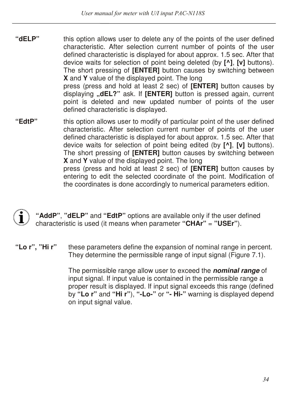- **"dELP"** this option allows user to delete any of the points of the user defined characteristic. After selection current number of points of the user defined characteristic is displayed for about approx. 1.5 sec. After that device waits for selection of point being deleted (by **[^]**, **[v]** buttons). The short pressing of **[ENTER]** button causes by switching between **X** and **Y** value of the displayed point. The long press (press and hold at least 2 sec) of **[ENTER]** button causes by displaying **"dEL?"** ask. If **[ENTER]** button is pressed again, current point is deleted and new updated number of points of the user defined characteristic is displayed.
- **"EdtP"** this option allows user to modify of particular point of the user defined characteristic. After selection current number of points of the user defined characteristic is displayed for about approx. 1.5 sec. After that device waits for selection of point being edited (by **[^]**, **[v]** buttons). The short pressing of **[ENTER]** button causes by switching between **X** and **Y** value of the displayed point. The long press (press and hold at least 2 sec) of **[ENTER]** button causes by entering to edit the selected coordinate of the point. Modification of the coordinates is done accordingly to numerical parameters edition.



**"AddP"**, **"dELP"** and **"EdtP"** options are available only if the user defined characteristic is used (it means when parameter **"CHAr"** = **"USEr"**).

**"Lo r", "Hi r"** these parameters define the expansion of nominal range in percent. They determine the permissible range of input signal (Figure 7.1).

> The permissible range allow user to exceed the *nominal range* of input signal. If input value is contained in the permissible range a proper result is displayed. If input signal exceeds this range (defined by **"Lo r"** and **"Hi r"**), **"-Lo-"** or **"- Hi-"** warning is displayed depend on input signal value.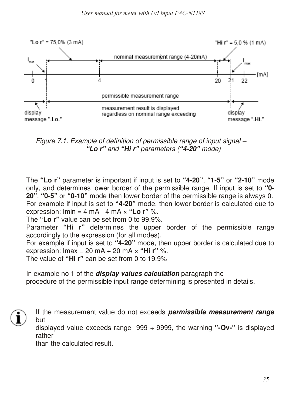

Figure 7.1. Example of definition of permissible range of input signal – *"Lo r"* and *"Hi r"* parameters (*"4-20"* mode)

The **"Lo r"** parameter is important if input is set to **"4-20"**, **"1-5"** or **"2-10"** mode only, and determines lower border of the permissible range. If input is set to **"0- 20"**, **"0-5"** or **"0-10"** mode then lower border of the permissible range is always 0. For example if input is set to **"4-20"** mode, then lower border is calculated due to expression: Imin = 4 mA - 4 mA × **"Lo r"** %.

The **"Lo r"** value can be set from 0 to 99.9%.

Parameter **"Hi r"** determines the upper border of the permissible range accordingly to the expression (for all modes).

For example if input is set to **"4-20"** mode, then upper border is calculated due to expression: Imax = 20 mA + 20 mA × **"Hi r"** %.

The value of **"Hi r"** can be set from 0 to 19.9%

In example no 1 of the *display values calculation* paragraph the procedure of the permissible input range determining is presented in details.



If the measurement value do not exceeds *permissible measurement range*  but

displayed value exceeds range -999 ÷ 9999, the warning **"-Ov-"** is displayed rather

than the calculated result.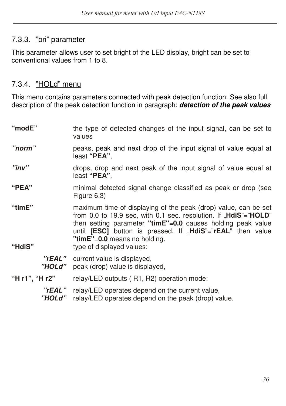# 7.3.3. "bri" parameter

This parameter allows user to set bright of the LED display, bright can be set to conventional values from 1 to 8.

# 7.3.4. "HOLd" menu

This menu contains parameters connected with peak detection function. See also full description of the peak detection function in paragraph: *detection of the peak values* 

| "modE"           | the type of detected changes of the input signal, can be set to<br>values                                                                                                                                                                                                                                                                           |
|------------------|-----------------------------------------------------------------------------------------------------------------------------------------------------------------------------------------------------------------------------------------------------------------------------------------------------------------------------------------------------|
| "norm"           | peaks, peak and next drop of the input signal of value equal at<br>least " <b>PEA</b> ",                                                                                                                                                                                                                                                            |
| "inv"            | drops, drop and next peak of the input signal of value equal at<br>least " <b>PEA</b> ",                                                                                                                                                                                                                                                            |
| "PEA"            | minimal detected signal change classified as peak or drop (see<br>Figure 6.3)                                                                                                                                                                                                                                                                       |
| "timE"<br>"HdiS" | maximum time of displaying of the peak (drop) value, can be set<br>from 0.0 to 19.9 sec, with 0.1 sec. resolution. If " <b>HdiS</b> "=" <b>HOLD</b> "<br>then setting parameter " $time$ "=0.0 causes holding peak value<br>until [ESC] button is pressed. If "HdiS"="rEAL" then value<br>"timE"=0.0 means no holding.<br>type of displayed values: |
| "rEAL"<br>"HOLd" | current value is displayed,<br>peak (drop) value is displayed,                                                                                                                                                                                                                                                                                      |
| "H r1", "H r2"   | relay/LED outputs (R1, R2) operation mode:                                                                                                                                                                                                                                                                                                          |
| "rEAL"<br>"HOLd" | relay/LED operates depend on the current value,<br>relay/LED operates depend on the peak (drop) value.                                                                                                                                                                                                                                              |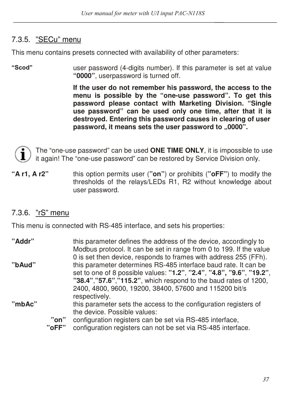# 7.3.5. "SECu" menu

This menu contains presets connected with availability of other parameters:

**''Scod''** user password (4-digits number). If this parameter is set at value **"0000"**, userpassword is turned off.

> **If the user do not remember his password, the access to the menu is possible by the "one-use password". To get this password please contact with Marketing Division. "Single use password" can be used only one time, after that it is destroyed. Entering this password causes in clearing of user**  password, it means sets the user password to "0000".



The "one-use password" can be used **ONE TIME ONLY**, it is impossible to use it again! The "one-use password" can be restored by Service Division only.

**"A r1, A r2"** this option permits user (**"on"**) or prohibits (**"oFF"**) to modify the thresholds of the relays/LEDs R1, R2 without knowledge about user password.

# 7.3.6. "rS" menu

This menu is connected with RS-485 interface, and sets his properties:

| "Addr" |               | this parameter defines the address of the device, accordingly to<br>Modbus protocol. It can be set in range from 0 to 199. If the value                                                                                                                                                                                                  |
|--------|---------------|------------------------------------------------------------------------------------------------------------------------------------------------------------------------------------------------------------------------------------------------------------------------------------------------------------------------------------------|
| "bAud" |               | 0 is set then device, responds to frames with address 255 (FFh).<br>this parameter determines RS-485 interface baud rate. It can be<br>set to one of 8 possible values: "1.2", "2.4", "4.8", "9.6", "19.2",<br>"38.4","57.6","115.2", which respond to the baud rates of 1200,<br>2400, 4800, 9600, 19200, 38400, 57600 and 115200 bit/s |
| "mbAc" |               | respectively.<br>this parameter sets the access to the configuration registers of<br>the device. Possible values:                                                                                                                                                                                                                        |
|        | "on"<br>"oFF" | configuration registers can be set via RS-485 interface,<br>configuration registers can not be set via RS-485 interface.                                                                                                                                                                                                                 |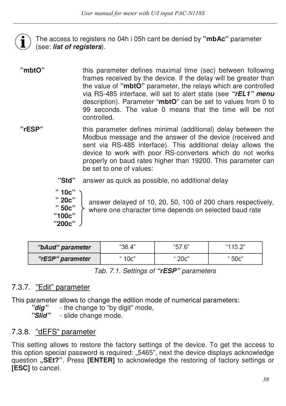The access to registers no 04h i 05h cant be denied by **"mbAc"** parameter (see: *list of registers*).

- **"mbtO"** this parameter defines maximal time (sec) between following frames received by the device. If the delay will be greater than the value of **"mbtO"** parameter, the relays which are controlled via RS-485 interface, will set to alert state (see *"rEL1" menu*  description). Parameter "**mbtO**" can be set to values from 0 to 99 seconds. The value 0 means that the time will be not controlled.
- **"rESP"** this parameter defines minimal (additional) delay between the Modbus message and the answer of the device (received and sent via RS-485 interface). This additional delay allows the device to work with poor RS-converters which do not works properly on baud rates higher than 19200. This parameter can be set to one of values:
	- **"Std"** answer as quick as possible, no additional delay

**" 10c" " 20c" " 50c" "100c" "200c"**

answer delayed of 10, 20, 50, 100 of 200 chars respectively, where one character time depends on selected baud rate

| "bAud" parameter | "38.4" |        | "115.2" |
|------------------|--------|--------|---------|
| "rESP" parameter | " 10c" | יי^∩מי | " 50c"  |

Tab. 7.1. Settings of *"rESP"* parameters

# 7.3.7. "Edit" parameter

This parameter allows to change the edition mode of numerical parameters:

*"dig"* - the change to "by digit" mode,

*"Slid"* - slide change mode.

## 7.3.8. "dEFS" parameter

This setting allows to restore the factory settings of the device. To get the access to this option special password is required: "5465", next the device displays acknowledge question **"SEt?"**. Press **[ENTER]** to acknowledge the restoring of factory settings or **[ESC]** to cancel.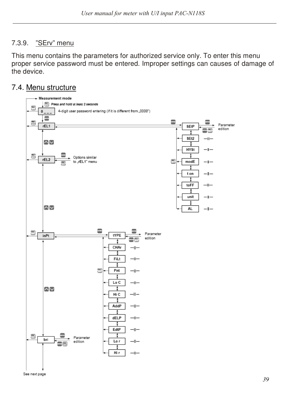#### 7.3.9. "SErv" menu

This menu contains the parameters for authorized service only. To enter this menu proper service password must be entered. Improper settings can causes of damage of the device.

#### 7.4. Menu structure



See next page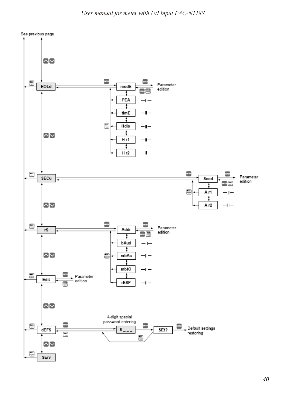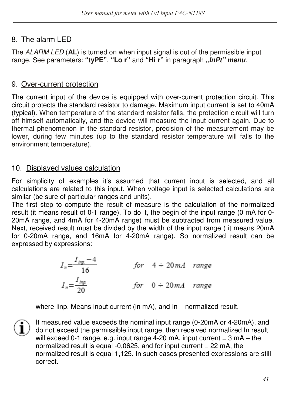# 8. The alarm LED

The ALARM LED (**AL**) is turned on when input signal is out of the permissible input range. See parameters: **"tyPE"**, **"Lo r"** and **"Hi r"** in paragraph *"InPt" menu*.

## 9. Over-current protection

The current input of the device is equipped with over-current protection circuit. This circuit protects the standard resistor to damage. Maximum input current is set to 40mA (typical). When temperature of the standard resistor falls, the protection circuit will turn off himself automatically, and the device will measure the input current again. Due to thermal phenomenon in the standard resistor, precision of the measurement may be lower, during few minutes (up to the standard resistor temperature will falls to the environment temperature).

# 10. Displayed values calculation

For simplicity of examples it's assumed that current input is selected, and all calculations are related to this input. When voltage input is selected calculations are similar (be sure of particular ranges and units).

The first step to compute the result of measure is the calculation of the normalized result (it means result of 0-1 range). To do it, the begin of the input range (0 mA for 0- 20mA range, and 4mA for 4-20mA range) must be subtracted from measured value. Next, received result must be divided by the width of the input range ( it means 20mA for 0-20mA range, and 16mA for 4-20mA range). So normalized result can be expressed by expressions:

$$
I_n = \frac{I_{\text{imp.}} - 4}{16}
$$
 for  $4 \div 20mA$  range  

$$
I_n = \frac{I_{\text{imp.}}}{20}
$$
 for  $0 \div 20mA$  range

where linp. Means input current (in mA), and In – normalized result.

If measured value exceeds the nominal input range (0-20mA or 4-20mA), and do not exceed the permissible input range, then received normalized In result will exceed 0-1 range, e.g. input range  $4-20$  mA, input current =  $3$  mA – the normalized result is equal -0,0625, and for input current = 22 mA, the normalized result is equal 1,125. In such cases presented expressions are still correct.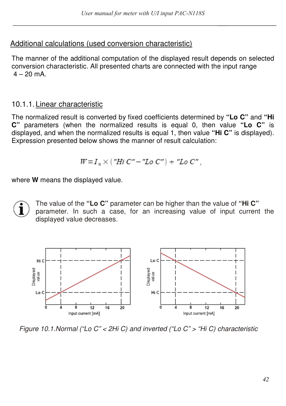## Additional calculations (used conversion characteristic)

The manner of the additional computation of the displayed result depends on selected conversion characteristic. All presented charts are connected with the input range  $4 - 20$  mA.

# 10.1.1. Linear characteristic

The normalized result is converted by fixed coefficients determined by **"Lo C"** and **"Hi C"** parameters (when the normalized results is equal 0, then value **"Lo C"** is displayed, and when the normalized results is equal 1, then value **"Hi C"** is displayed). Expression presented below shows the manner of result calculation:

$$
W = I_n \times ("Hi C" - "Lo C") + "Lo C",
$$

where **W** means the displayed value.

The value of the **"Lo C"** parameter can be higher than the value of **"Hi C"**  parameter. In such a case, for an increasing value of input current the displayed value decreases.



Figure 10.1.Normal ("Lo C" < 2Hi C) and inverted ("Lo C" > "Hi C) characteristic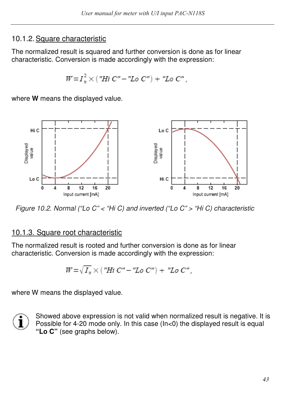## 10.1.2. Square characteristic

The normalized result is squared and further conversion is done as for linear characteristic. Conversion is made accordingly with the expression:

$$
W = I_n^2 \times ("Hi C" - "Lo C") + "Lo C",
$$

where **W** means the displayed value.



Figure 10.2. Normal ("Lo C" < "Hi C) and inverted ("Lo C" > "Hi C) characteristic

## 10.1.3. Square root characteristic

The normalized result is rooted and further conversion is done as for linear characteristic. Conversion is made accordingly with the expression:

$$
W = \sqrt{I_n} \times (\text{"Hi } C'' - \text{"Lo } C'') + \text{ "Lo } C'',
$$

where W means the displayed value.



Showed above expression is not valid when normalized result is negative. It is Possible for 4-20 mode only. In this case (In<0) the displayed result is equal **"Lo C"** (see graphs below).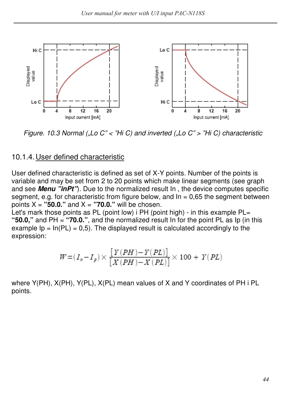

Figure. 10.3 Normal ("Lo C"  $\lt$  "Hi C) and inverted ("Lo C"  $\gt$  "Hi C) characteristic

## 10.1.4. User defined characteristic

User defined characteristic is defined as set of X-Y points. Number of the points is variable and may be set from 2 to 20 points which make linear segments (see graph and see *Menu "inPt"*). Due to the normalized result In , the device computes specific segment, e.g. for characteristic from figure below, and  $\ln = 0.65$  the segment between points  $X =$  "50.0." and  $X =$  "70.0." will be chosen.

Let's mark those points as PL (point low) i PH (point high) - in this example PL= **"50.0,"** and PH = **"70.0."**, and the normalized result In for the point PL as Ip (in this example  $I_p = \ln(P_L) = 0.5$ . The displayed result is calculated accordingly to the expression:

$$
W\!=\!(I_n\!-\!I_p)\!\times\!\frac{\big[\,Y\left(PH\right)\!-\!Y\left(PL\right)\big]}{\big[X\left(PH\right)\!-\!X\left(PL\right)\big]}\!\times100+Y\!\left(PL\right)
$$

where Y(PH), X(PH), Y(PL), X(PL) mean values of X and Y coordinates of PH i PL points.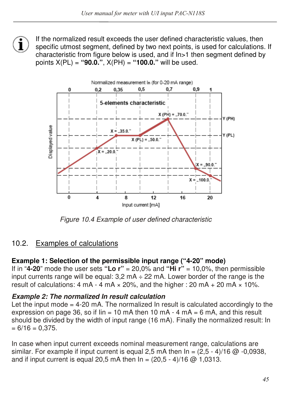If the normalized result exceeds the user defined characteristic values, then specific utmost segment, defined by two next points, is used for calculations. If characteristic from figure below is used, and if In>1 then segment defined by points X(PL) = **"90.0."**, X(PH) = **"100.0."** will be used.



Figure 10.4 Example of user defined characteristic

## 10.2. Examples of calculations

## **Example 1: Selection of the permissible input range ("4-20" mode)**

If in " $4-20$ " mode the user sets "Lo  $r$ " = 20,0% and "Hi  $r$ " = 10,0%, then permissible input currents range will be equal:  $3.2 \text{ mA} \div 22 \text{ mA}$ . Lower border of the range is the result of calculations:  $4 \text{ mA} \cdot 4 \text{ mA} \times 20$ %, and the higher :  $20 \text{ mA} + 20 \text{ mA} \times 10$ %.

#### *Example 2: The normalized In result calculation*

Let the input mode  $= 4-20$  mA. The normalized In result is calculated accordingly to the expression on page 36, so if  $\lim_{n \to \infty} 10 \text{ mA}$  then 10 mA - 4 mA = 6 mA, and this result should be divided by the width of input range (16 mA). Finally the normalized result: In  $= 6/16 = 0,375.$ 

In case when input current exceeds nominal measurement range, calculations are similar. For example if input current is equal 2,5 mA then  $\ln = (2.5 - 4)/16$  @ -0,0938, and if input current is equal 20.5 mA then  $\ln = (20.5 - 4)/16$  @ 1,0313.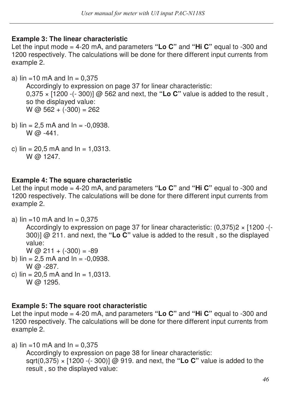#### **Example 3: The linear characteristic**

Let the input mode = 4-20 mA, and parameters **"Lo C"** and **"Hi C"** equal to -300 and 1200 respectively. The calculations will be done for there different input currents from example 2.

a)  $\text{lin} = 10 \text{ mA}$  and  $\text{ln} = 0.375$ 

Accordingly to expression on page 37 for linear characteristic: 0,375 × [1200 -(- 300)] @ 562 and next, the **"Lo C"** value is added to the result , so the displayed value: W @  $562 + (-300) = 262$ 

- b)  $\text{lin} = 2.5 \text{ mA}$  and  $\text{In} = -0.0938$ .  $W @ -441.$
- c)  $\text{lin} = 20.5 \text{ mA}$  and  $\text{In} = 1,0313$ . W @ 1247.

## **Example 4: The square characteristic**

Let the input mode = 4-20 mA, and parameters **"Lo C"** and **"Hi C"** equal to -300 and 1200 respectively. The calculations will be done for there different input currents from example 2.

a)  $\text{lin} = 10 \text{ mA}$  and  $\text{In} = 0.375$ 

Accordingly to expression on page 37 for linear characteristic:  $(0,375)2 \times [1200 -(-15.57)]$ 300)] @ 211. and next, the **"Lo C"** value is added to the result , so the displayed value:

 $W \omega$  211 + (-300) = -89

- b)  $\text{lin} = 2.5 \text{ mA}$  and  $\text{In} = -0.0938$ . W @ -287.
- c)  $\text{lin} = 20.5 \text{ mA}$  and  $\text{In} = 1.0313$ .  $W \overline{\omega}$  1295.

## **Example 5: The square root characteristic**

Let the input mode = 4-20 mA, and parameters **"Lo C"** and **"Hi C"** equal to -300 and 1200 respectively. The calculations will be done for there different input currents from example 2.

a)  $\text{lin} = 10 \text{ mA}$  and  $\text{In} = 0.375$ 

Accordingly to expression on page 38 for linear characteristic: sqrt(0,375) × [1200 -(- 300)] @ 919. and next, the **"Lo C"** value is added to the result , so the displayed value: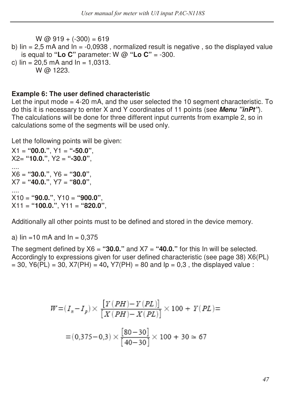$W @ 919 + (-300) = 619$ b)  $\sin = 2.5$  mA and  $\sin = -0.0938$ , normalized result is negative, so the displayed value is equal to "Lo C" parameter:  $W \varpi$  "Lo C" = -300. c)  $\text{lin} = 20.5 \text{ mA}$  and  $\text{In} = 1.0313$ .

```
W @ 1223.
```
#### **Example 6: The user defined characteristic**

Let the input mode = 4-20 mA, and the user selected the 10 segment characteristic. To do this it is necessary to enter X and Y coordinates of 11 points (see *Menu "inPt"*). The calculations will be done for three different input currents from example 2, so in calculations some of the segments will be used only.

Let the following points will be given:

X1 = **"00.0."**, Y1 = **"-50.0"**, X2= **"10.0."**, Y2 = **"-30.0"**, .... X6 = **"30.0."**, Y6 = **"30.0"**, X7 = **"40.0."**, Y7 = **"80.0"**, .... X10 = **"90.0."**, Y10 = **"900.0"**, X11 = **"100.0."**, Y11 = **"820.0"**,

Additionally all other points must to be defined and stored in the device memory.

a)  $\text{lin} = 10 \text{ mA}$  and  $\text{In} = 0.375$ 

The segment defined by  $X6 =$  "30.0." and  $X7 =$  "40.0." for this In will be selected. Accordingly to expressions given for user defined characteristic (see page 38) X6(PL)  $= 30$ , Y6(PL) = 30, X7(PH) = 40, Y7(PH) = 80 and lp = 0.3, the displayed value :

$$
W = (I_n - I_p) \times \frac{[Y(PH) - Y(PL)]}{[X(PH) - X(PL)]} \times 100 + Y(PL) =
$$
  
= (0,375 - 0,3) ×  $\frac{[80 - 30]}{[40 - 30]} \times 100 + 30 \approx 67$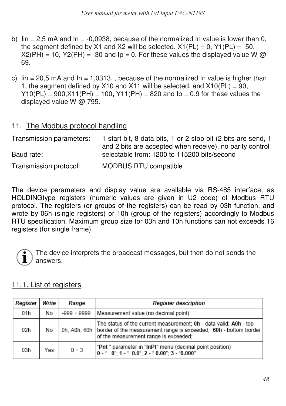- b)  $\sin = 2.5$  mA and  $\ln = -0.0938$ , because of the normalized In value is lower than 0, the segment defined by X1 and X2 will be selected.  $X1(PL) = 0$ ,  $Y1(PL) = -50$ ,  $X2(PH) = 10$ ,  $Y2(PH) = -30$  and  $Ip = 0$ . For these values the displayed value W  $\omega$  -69.
- c)  $\sin = 20.5$  mA and  $\ln = 1.0313$ . because of the normalized In value is higher than 1, the segment defined by X10 and X11 will be selected, and X10(PL) = 90, Y10(PL) = 900,X11(PH) = 100**,** Y11(PH) = 820 and Ip = 0,9 for these values the displayed value W @ 795.

## 11. The Modbus protocol handling

| Transmission parameters: | 1 start bit, 8 data bits, 1 or 2 stop bit (2 bits are send, 1<br>and 2 bits are accepted when receive), no parity control |
|--------------------------|---------------------------------------------------------------------------------------------------------------------------|
| Baud rate:               | selectable from: 1200 to 115200 bits/second                                                                               |
| Transmission protocol:   | <b>MODBUS RTU compatible</b>                                                                                              |

The device parameters and display value are available via RS-485 interface, as HOLDINGtype registers (numeric values are given in U2 code) of Modbus RTU protocol. The registers (or groups of the registers) can be read by 03h function, and wrote by 06h (single registers) or 10h (group of the registers) accordingly to Modbus RTU specification. Maximum group size for 03h and 10h functions can not exceeds 16 registers (for single frame).



The device interprets the broadcast messages, but then do not sends the answers.

## 11.1. List of registers

| Register | Write | Range            | <b>Register description</b>                                                                                                                                                                   |
|----------|-------|------------------|-----------------------------------------------------------------------------------------------------------------------------------------------------------------------------------------------|
| 01h      | No    | $-999 \div 9999$ | Measurement value (no decimal point)                                                                                                                                                          |
| 02h      | No    |                  | The status of the current measurement; 0h - data valid; A0h - top<br>Oh, AOh, 60h   border of the measurement range is exceeded; 60h - bottom border<br>of the measurement range is exceeded; |
| 03h      | Yes   | 0 ÷ 3            | "Pnt" parameter in "InPt" menu (decimal point position)<br>$0  ^{\circ}$ $0$ $^{\circ}$ 1 $ ^{\circ}$ 0.0 $^{\circ}$ 2 $ ^{\circ}$ 0.00 $^{\circ}$ 3 $ ^{\circ}$ 0.000 $^{\circ}$             |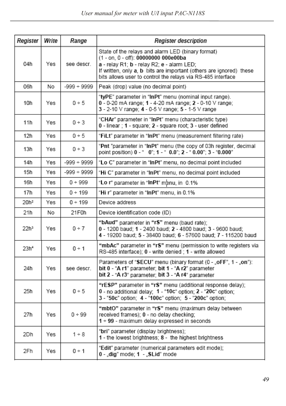| Register         | Write | Range            | <b>Register description</b>                                                                                                                                                                                                                                                   |  |  |  |
|------------------|-------|------------------|-------------------------------------------------------------------------------------------------------------------------------------------------------------------------------------------------------------------------------------------------------------------------------|--|--|--|
| 04h              | Yes   | see descr.       | State of the relays and alarm LED (binary format)<br>(1 - on, 0 - off): 00000000 000e00ba<br>a - relay R1; b - relay R2; e - alarm LED;<br>If written, only a, b bits are important (others are ignored) these<br>bits allows user to control the relays via RS-485 interface |  |  |  |
| 06h              | No    | $-999 \div 9999$ | Peak (drop) value (no decimal point)                                                                                                                                                                                                                                          |  |  |  |
| 10h              | Yes   | 0 ÷ 5            | "tyPE" parameter in "InPt" menu (nominal input range).<br>0 - 0-20 mA range: 1 - 4-20 mA range: 2 - 0-10 V range:<br>3 - 2-10 V range; 4 - 0-5 V range; 5 - 1-5 V range                                                                                                       |  |  |  |
| 11h              | Yes   | 0 ÷ 3            | "CHAr" parameter in "InPt" menu (characteristic type)<br>0 - linear : 1 - square: 2 - square root: 3 - user defined                                                                                                                                                           |  |  |  |
| 12h              | Yes   | 0 ÷ 5            | "FiLt" parameter in "InPt" menu (measurement filtering rate)                                                                                                                                                                                                                  |  |  |  |
| 13h              | Yes   | 0 ÷ 3            | "Pnt "parameter in "InPt" menu (the copy of 03h register, decimal<br>point position) 0 - " 0"; 1 - " 0.0"; 2 - " 0.00"; 3 - "0.000"                                                                                                                                           |  |  |  |
| 14h              | Yes   | $-999 \div 9999$ | "Lo C" parameter in "InPt" menu, no decimal point included                                                                                                                                                                                                                    |  |  |  |
| 15h              | Yes   | $-999 + 9999$    | "Hi C" parameter in "InPt" menu, no decimal point included                                                                                                                                                                                                                    |  |  |  |
| 16h              | Yes   | 0 ÷ 999          | "Lo r" parameter in "InPt" menu, in 0.1%                                                                                                                                                                                                                                      |  |  |  |
| 17h              | Yes   | 0 ÷ 199          | "Hi r" parameter in "InPt" menu, in 0.1%                                                                                                                                                                                                                                      |  |  |  |
| 20h <sup>2</sup> | Yes   | 0 ÷ 199          | Device address                                                                                                                                                                                                                                                                |  |  |  |
| 21h              | No    | 21F0h            | Device identification code (ID)                                                                                                                                                                                                                                               |  |  |  |
| 22hª             | Yes   | 0 ÷ 7            | "bAud" parameter in "rS" menu (baud rate);<br>0 - 1200 baud; 1 - 2400 baud; 2 - 4800 baud; 3 - 9600 baud;<br>4 - 19200 baud; 5 - 38400 baud; 6 - 57600 baud; 7 - 115200 baud                                                                                                  |  |  |  |
| 23h <sup>4</sup> | Yes   | 0 ÷ 1            | "mbAc" parameter in "rS" menu (permission to write registers via<br>RS-485 interface); 0 - write denied ; 1 - write allowed                                                                                                                                                   |  |  |  |
| 24h              | Yes   | see descr.       | Parameters of "SECU" menu (binary format (0 - "oFF", 1 - "on"):<br>bit 0 - "A r1" parameter; bit 1 - "A r2" parameter<br>bit 2 - "A r3" parameter; bit 3 - "A r4" parameter                                                                                                   |  |  |  |
| 25h              | Yes   | 0 ÷ 5            | "rESP" parameter in "rS" menu (additional response delay);<br>0 - no additional delay; 1 - "10c" option; 2 - "20c" option;<br>3 - "50c" option: 4 - "100c" option: 5 - "200c" option:                                                                                         |  |  |  |
| 27h              | Yes   | 0 ÷ 99           | "mbtO" parameter in "rS" menu (maximum delay between<br>received frames); 0 - no delay checking;<br>1 ÷ 99 - maximum delay expressed in seconds                                                                                                                               |  |  |  |
| 2Dh              | Yes   | $1 \div 8$       | "bri" parameter (display brightness);<br>1 - the lowest brightness; 8 - the highest brightness                                                                                                                                                                                |  |  |  |
| 2Fh              | Yes   | 0 ÷ 1            | "Edit" parameter (numerical parameters edit mode);<br>0 - "dig" mode; 1 - "SLid" mode                                                                                                                                                                                         |  |  |  |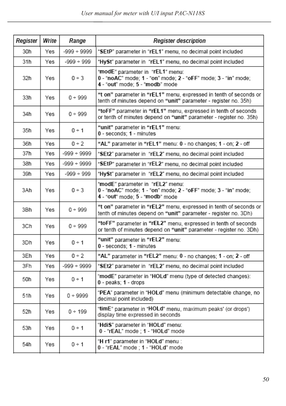$\overline{a}$ 

| Register | Write | Range            | <b>Register description</b>                                                                                                           |
|----------|-------|------------------|---------------------------------------------------------------------------------------------------------------------------------------|
| 30h      | Yes   | $-999 \div 9999$ | "SEtP" parameter in "rEL1" menu, no decimal point included                                                                            |
| 31h      | Yes   | $-999 \div 999$  | "HySt" parameter in "rEL1" menu, no decimal point included                                                                            |
| 32h      | Yes   | 0 ÷ 3            | "modE" parameter in "rEL1" menu:<br>0 - "noAC" mode; 1 - "on" mode; 2 - "oFF" mode; 3 - "in" mode;<br>4 - "out" mode; 5 - "modb" mode |
| 33h      | Yes   | 0 ÷ 999          | "t on" parameter in "rEL1" menu, expressed in tenth of seconds or<br>tenth of minutes depend on "unit" parameter - register no. 35h)  |
| 34h      | Yes   | 0 ÷ 999          | "toFF" parameter in "rEL1" menu, expressed in tenth of seconds<br>or tenth of minutes depend on "unit" parameter - register no. 35h)  |
| 35h      | Yes   | 0 ÷ 1            | "unit" parameter in "rEL1" menu:<br>0 - seconds; 1 - minutes                                                                          |
| 36h      | Yes   | 0 ÷ 2            | "AL" parameter in "rEL1" menu: 0 - no changes; 1 - on; 2 - off                                                                        |
| 37h      | Yes   | $-999 \div 9999$ | "SEt2" parameter in "rEL2" menu, no decimal point included                                                                            |
| 38h      | Yes   | $-999 \div 9999$ | "SEtP" parameter in "rEL2" menu, no decimal point included                                                                            |
| 39h      | Yes   | $-999 \div 999$  | "HySt" parameter in "rEL2" menu, no decimal point included                                                                            |
| 3Ah      | Yes   | 0 ÷ 3            | "modE" parameter in "rEL2" menu:<br>0 - "noAC" mode; 1 - "on" mode; 2 - "oFF" mode; 3 - "in" mode;<br>4 - "out" mode; 5 - "modb" mode |
| 3Bh      | Yes   | 0 ÷ 999          | "t on" parameter in "rEL2" menu, expressed in tenth of seconds or<br>tenth of minutes depend on "unit" parameter - register no. 3Dh)  |
| 3Ch      | Yes   | 0 ÷ 999          | "toFF" parameter in "rEL2" menu, expressed in tenth of seconds<br>or tenth of minutes depend on "unit" parameter - register no. 3Dh)  |
| 3Dh      | Yes   | 0 ÷ 1            | "unit" parameter in "rEL2" menu:<br>0 - seconds; 1 - minutes                                                                          |
| 3Eh      | Yes   | 0 ÷ 2            | "AL" parameter in "rEL2" menu: 0 - no changes; 1 - on; 2 - off                                                                        |
| 3Fh      | Yes   | $-999 \div 9999$ | "SEt2" parameter in "rEL2" menu, no decimal point included                                                                            |
| 50h      | Yes   | 0 ÷ 1            | "modE" parameter in "HOLd" menu (type of detected changes):<br>0 - peaks: 1 - drops                                                   |
| 51h      | Yes   | $0 + 9999$       | "PEA" parameter in "HOLd" menu (minimum detectable change, no<br>decimal point included)                                              |
| 52h      | Yes   | 0 ÷ 199          | "timE" parameter in "HOLd" menu, maximum peaks' (or drops')<br>display time expressed in seconds                                      |
| 53h      | Yes   | 0 ÷ 1            | "HdiS" parameter in "HOLd" menu:<br>0 - "rEAL" mode ; 1 - "HOLd" mode                                                                 |
| 54h      | Yes   | 0 ÷ 1            | "H r1" parameter in "HOLd" menu :<br>0 - "rEAL" mode ; 1 - "HOLd" mode                                                                |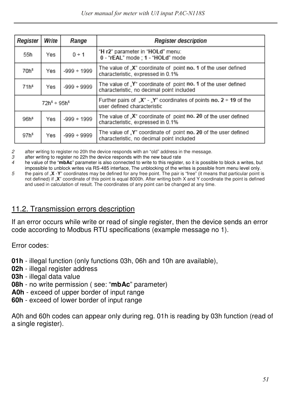| Register                                    | Write              | Range            | <b>Register description</b>                                                                                  |  |  |  |
|---------------------------------------------|--------------------|------------------|--------------------------------------------------------------------------------------------------------------|--|--|--|
| 55h                                         | Yes                | $0 \div 1$       | "H r2" parameter in "HOLd" menu:<br>0 - "rEAL" mode : 1 - "HOLd" mode                                        |  |  |  |
| 70h <sup>s</sup><br>$-999 \div 1999$<br>Yes |                    |                  | The value of "X" coordinate of point no. 1 of the user defined<br>characteristic, expressed in 0.1%          |  |  |  |
| 71h <sup>5</sup>                            | Yes                | $-999 \div 9999$ | The value of Y" coordinate of point no. 1 of the user defined<br>characteristic, no decimal point included   |  |  |  |
|                                             | $72h^5 \div 95h^5$ |                  | Further pairs of "X" - "Y" coordinates of points no. $2 \div 19$ of the<br>user defined characteristic       |  |  |  |
| 96h <sup>s</sup>                            | Yes                | $-999 \div 1999$ | The value of X" coordinate of point no. 20 of the user defined<br>characteristic, expressed in 0.1%          |  |  |  |
| 97h <sup>5</sup>                            | Yes                | $-999 \div 9999$ | The value of .Y" coordinate of point no. 20 of the user defined<br>characteristic, no decimal point included |  |  |  |

2 after writing to register no 20h the device responds with an "old" address in the message.

3 after writing to register no 22h the device responds with the new baud rate<br> $\mu$  he value of the "**mbAc**" parameter is also connected to write to this registe

4 he value of the "**mbAc**" parameter is also connected to write to this register, so it is possible to block a writes, but impossible to unblock writes via RS-485 interface, The unblocking of the writes is possible from menu level only. 5 the pairs of "**X** -**Y**" coordinates may be defined for any free point. The pair is "free" (it means that particular point is

not defined) if "**X**" coordinate of this point is equal 8000h. After writing both X and Y coordinate the point is defined and used in calculation of result. The coordinates of any point can be changed at any time.

## 11.2. Transmission errors description

If an error occurs while write or read of single register, then the device sends an error code according to Modbus RTU specifications (example message no 1).

Error codes:

- **01h**  illegal function (only functions 03h, 06h and 10h are available),
- **02h**  illegal register address
- **03h**  illegal data value
- **08h**  no write permission ( see: "**mbAc**" parameter)
- **A0h**  exceed of upper border of input range
- **60h**  exceed of lower border of input range

A0h and 60h codes can appear only during reg. 01h is reading by 03h function (read of a single register).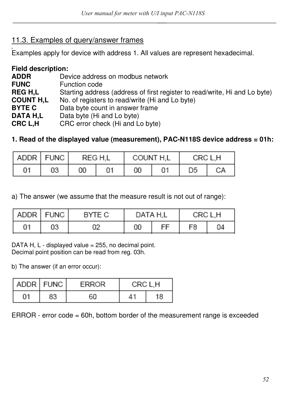## 11.3. Examples of query/answer frames

<u>.</u><br>Examples apply for device with address 1. All values are represent hexadecimal.

| <b>Field description:</b> |                                                                            |
|---------------------------|----------------------------------------------------------------------------|
| ADDR                      | Device address on modbus network                                           |
| <b>FUNC</b>               | Function code                                                              |
| <b>REG H,L</b>            | Starting address (address of first register to read/write, Hi and Lo byte) |
| <b>COUNT H.L</b>          | No. of registers to read/write (Hi and Lo byte)                            |
| <b>BYTE C</b>             | Data byte count in answer frame                                            |
| DATA H.L                  | Data byte (Hi and Lo byte)                                                 |
| CRC L,H                   | CRC error check (Hi and Lo byte)                                           |

#### **1. Read of the displayed value (measurement), PAC-N118S device address = 01h:**

| ADDR   FUNC |    | REG H.L |    | COUNT H.L |    | CRC L.H |    |
|-------------|----|---------|----|-----------|----|---------|----|
| 01          | 03 | 00      | 01 | 00        | 01 | D5      | CА |

a) The answer (we assume that the measure result is not out of range):

|    | ADDR   FUNC | BYTE C | DATA H,L |   | CRC L.H |    |
|----|-------------|--------|----------|---|---------|----|
| 01 | 03          | 02     | 00       | ᄄ | F8      | 04 |

DATA H, L - displayed value = 255, no decimal point. Decimal point position can be read from reg. 03h.

b) The answer (if an error occur):

|    | ADDR FUNC | <b>FRROR</b> | CRC L.H |    |
|----|-----------|--------------|---------|----|
| 01 | 83        | 60           | 41      | 18 |

 $ERROR - error code = 60h$ , bottom border of the measurement range is exceeded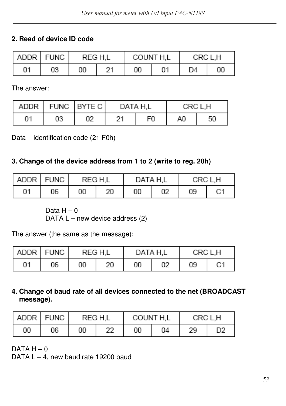## **2. Read of device ID code**

|    | ADDR FUNC |    | REG H.L |    | COUNT H.L | CRC L.H |    |
|----|-----------|----|---------|----|-----------|---------|----|
| 01 | 03        | 00 | 94      | 00 |           | D4      | 00 |

The answer:

|    |    | ADDR   FUNC   BYTE C | DATA H.L |    | CRC L.H |    |  |
|----|----|----------------------|----------|----|---------|----|--|
| 01 | 03 | 02                   | 21       | F0 | A0      | 50 |  |

Data – identification code (21 F0h)

## **3. Change of the device address from 1 to 2 (write to reg. 20h)**

| ADDR FUNC |    | REG H.L |    | DATA H,L |    | CRC L.H |    |
|-----------|----|---------|----|----------|----|---------|----|
| 01        | 06 | 00      | 20 | 00       | 02 | 09      | C1 |

Data  $H - 0$ 

DATA  $L$  – new device address (2)

The answer (the same as the message):

| ADDR FUNC |    | REG H.L |    | DATA H,L |    | CRC L.H |    |
|-----------|----|---------|----|----------|----|---------|----|
| 01        | 06 | 00      | 20 | 00       | 02 | 09      | C1 |

#### **4. Change of baud rate of all devices connected to the net (BROADCAST message).**

|    | ADDR FUNC | REG H.L |          | COUNT H.L |    | CRC L,H |                |
|----|-----------|---------|----------|-----------|----|---------|----------------|
| 00 | 06        | 00      | າາ<br>22 | 00        | 04 | 29      | D <sub>2</sub> |

 $DATA H - 0$ 

DATA L - 4, new baud rate 19200 baud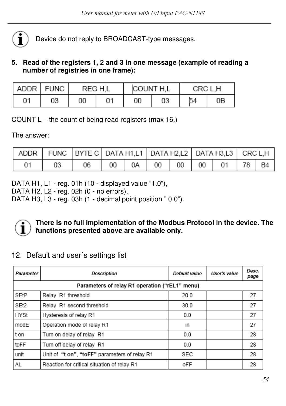

Device do not reply to BROADCAST-type messages.

#### **5. Read of the registers 1, 2 and 3 in one message (example of reading a number of registries in one frame):**

|    | ADDR   FUNC | REG H.L |    | COUNT H.L |    | CRC L.H |    |
|----|-------------|---------|----|-----------|----|---------|----|
| 01 | 03          | 00      | 01 | 00        | 03 | 54      | 0Β |

COUNT L – the count of being read registers (max 16.)

The answer:

|    | ADDR   FUNC   BYTE C   DATA H1,L1   DATA H2,L2   DATA H3,L3   CRC L,H |  |  |                                       |  |
|----|-----------------------------------------------------------------------|--|--|---------------------------------------|--|
| 01 | 06                                                                    |  |  | 00   0A   00   00   00   01   78   B4 |  |

DATA H1, L1 - reg. 01h (10 - displayed value "1.0"),

DATA H2, L2 - reg. 02h (0 - no errors),,

DATA H3, L3 - reg. 03h (1 - decimal point position " 0.0").



#### **There is no full implementation of the Modbus Protocol in the device. The functions presented above are available only.**

## 12. Default and user´s settings list

| Parameter                                      | Description                                   | Default value | User's value | Desc.<br>page |  |  |  |  |  |  |
|------------------------------------------------|-----------------------------------------------|---------------|--------------|---------------|--|--|--|--|--|--|
| Parameters of relay R1 operation ("rEL1" menu) |                                               |               |              |               |  |  |  |  |  |  |
| SEtP                                           | Relay R1 threshold                            | 20.0          |              | 27            |  |  |  |  |  |  |
| SEt2                                           | Relay R1 second threshold                     | 30.0          |              | 27            |  |  |  |  |  |  |
| <b>HYSt</b>                                    | Hysteresis of relay R1                        | 0.0           |              | 27            |  |  |  |  |  |  |
| modE                                           | Operation mode of relay R1                    | in            |              | 27            |  |  |  |  |  |  |
| t on                                           | Turn on delay of relay R1                     | 0.0           |              | 28            |  |  |  |  |  |  |
| toFF                                           | Turn off delay of relay R1                    | 0.0           |              | 28            |  |  |  |  |  |  |
| unit                                           | Unit of "t on", "toFF" parameters of relay R1 | SEC           |              | 28            |  |  |  |  |  |  |
| AL                                             | Reaction for critical situation of relay R1   | oFF           |              | 28            |  |  |  |  |  |  |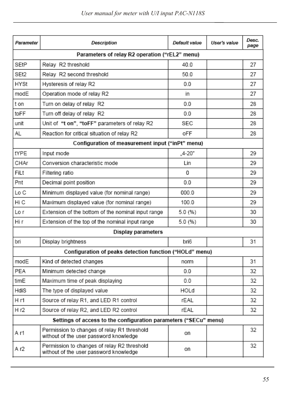| Parameter   | Description                                                                           | Default value | User's value | Desc.<br>page |
|-------------|---------------------------------------------------------------------------------------|---------------|--------------|---------------|
|             | Parameters of relay R2 operation ("rEL2" menu)                                        |               |              |               |
| SEtP        | Relay R2 threshold                                                                    | 40.0          |              | 27            |
| SEt2        | Relay R2 second threshold                                                             | 50.0          |              | 27            |
| <b>HYSt</b> | Hysteresis of relay R2                                                                | 0.0           |              | 27            |
| modE        | Operation mode of relay R2                                                            | in.           |              | 27            |
| t on        | Turn on delay of relay R2                                                             | 0.0           |              | 28            |
| toFF        | Turn off delay of relay R2                                                            | 0.0           |              | 28            |
| unit        | Unit of "t on", "toFF" parameters of relay R2                                         | SEC           |              | 28            |
| AL          | Reaction for critical situation of relay R2                                           | oFF           |              | 28            |
|             | Configuration of measurement input ("inPt" menu)                                      |               |              |               |
| tYPE        | Input mode                                                                            | "4-20"        |              | 29            |
| CHAr        | Conversion characteristic mode                                                        | Lin           |              | 29            |
| FiLt        | Filtering ratio                                                                       | 0             |              | 29            |
| Pnt         | Decimal point position                                                                | 0.0           |              | 29            |
| Lo C        | Minimum displayed value (for nominal range)                                           | 000.0         |              | 29            |
| Hi C        | Maximum displayed value (for nominal range)                                           | 100.0         |              | 29            |
| Lo r        | Extension of the bottom of the nominal input range                                    | 5.0 (%)       |              | 30            |
| Hi r        | Extension of the top of the nominal input range                                       | 5.0 (%)       |              | 30            |
|             | Display parameters                                                                    |               |              |               |
| bri         | Display brightness                                                                    | bri6          |              | 31            |
|             | Configuration of peaks detection function ("HOLd" menu)                               |               |              |               |
| modE        | Kind of detected changes                                                              | norm          |              | 31            |
| PEA         | Minimum detected change                                                               | 0.0           |              | 32            |
| timE        | Maximum time of peak displaying                                                       | 0.0           |              | 32            |
| HdiS        | The type of displayed value                                                           | HOLd          |              | 32            |
| H r1        | Source of relay R1, and LED R1 control                                                | rEAL          |              | 32            |
| H r2        | Source of relay R2, and LED R2 control                                                | rFAL          |              | 32            |
|             | Settings of access to the configuration parameters ("SECu" menu)                      |               |              |               |
| A r1        | Permission to changes of relay R1 threshold<br>without of the user password knowledge | on            |              | 32            |
| A r2        | Permission to changes of relay R2 threshold<br>without of the user password knowledge | on            |              | 32            |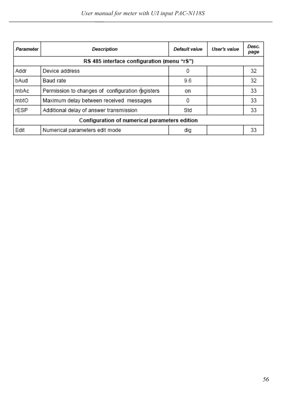| Parameter                                     | Description                                      | Default value | User's value | Desc.<br>page |  |  |  |  |  |
|-----------------------------------------------|--------------------------------------------------|---------------|--------------|---------------|--|--|--|--|--|
| RS 485 interface configuration (menu "rS")    |                                                  |               |              |               |  |  |  |  |  |
| Addr                                          | Device address                                   | 0             |              | 32            |  |  |  |  |  |
| bAud                                          | Baud rate                                        | 9.6           |              | 32            |  |  |  |  |  |
| mbAc                                          | Permission to changes of configuration registers | on            |              | 33            |  |  |  |  |  |
| mbtO                                          | Maximum delay between received messages          | 0             |              | 33            |  |  |  |  |  |
| rESP                                          | Additional delay of answer transmission          | Std           |              | 33            |  |  |  |  |  |
| Configuration of numerical parameters edition |                                                  |               |              |               |  |  |  |  |  |
| Edit                                          | Numerical parameters edit mode                   | dig           |              | 33            |  |  |  |  |  |